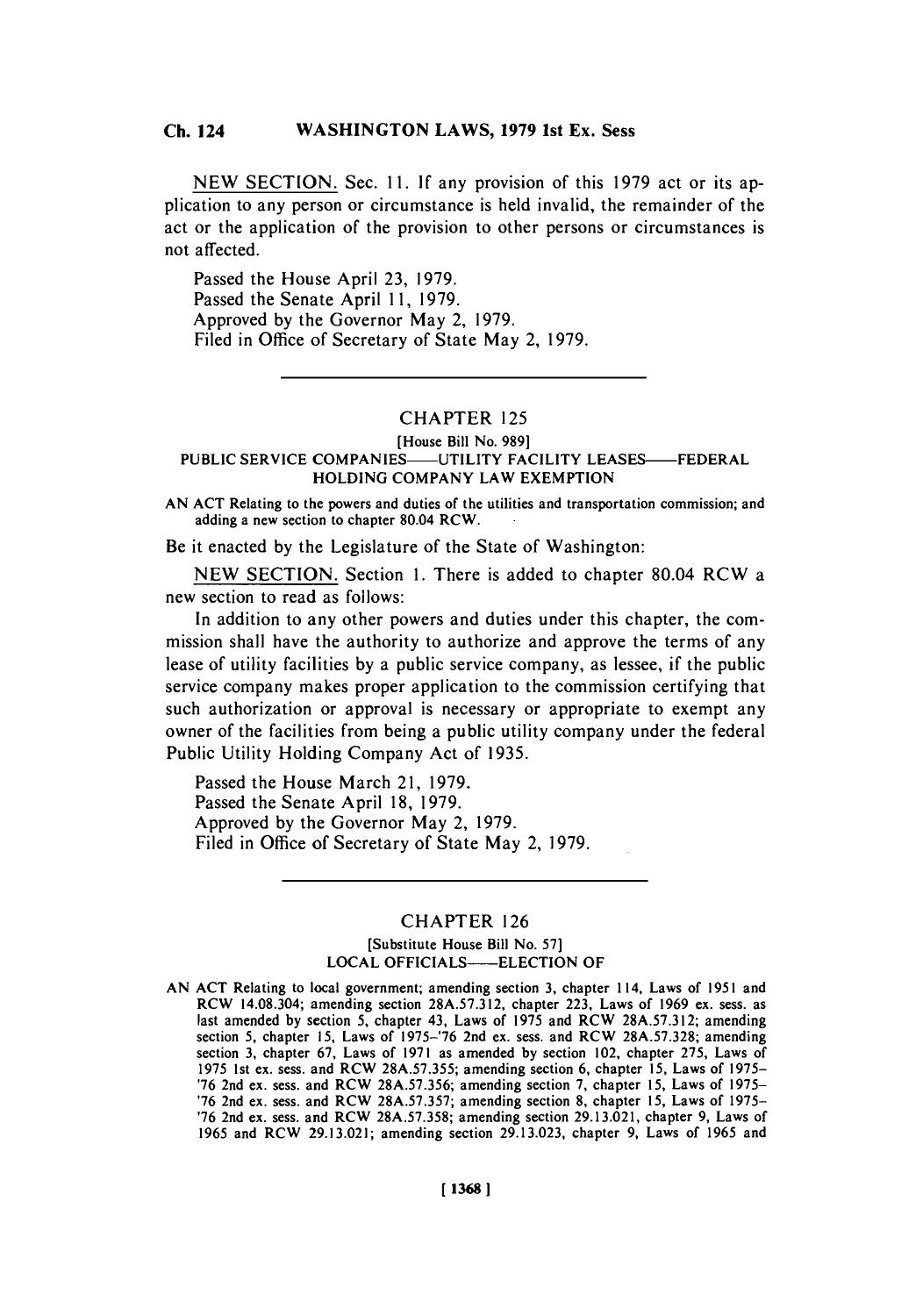**NEW** SECTION. Sec. *11.* **If** any provision of this **1979** act or its application to any person or circumstance is held invalid, the remainder of the act or the application of the provision to other persons or circumstances is not affected.

Passed the House April **23, 1979.** Passed the Senate April **11, 1979.** Approved **by** the Governor May 2, **1979.** Filed in Office of Secretary of State May 2, **1979.**

## CHAPTER **125**

# [House Bill No. **989] PUBLIC** SERVICE COMPANIES-UTILITY FACILITY **LEASES-FEDERAL**

**HOLDING** COMPANY LAW **EXEMPTION**

**AN ACT** Relating to the powers and duties of the utilities and transportation commission; and adding a new section to chapter 80.04 RCW.

Be it enacted **by** the Legislature of the State of Washington:

**NEW SECTION.** Section **1.** There is added to chapter 80.04 RCW a new section to read as follows:

In addition to any other powers and duties under this chapter, the commission shall have the authority to authorize and approve the terms of any lease of utility facilities **by** a public service company, as lessee, if the public service company makes proper application to the commission certifying that such authorization or approval is necessary or appropriate to exempt any owner of the facilities from being a public utility company under the federal Public Utility Holding Company Act of **1935.**

Passed the House March 21, **1979.** Passed the Senate April **18, 1979.** Approved **by** the Governor May 2, **1979.** Filed in Office of Secretary of State May 2, **1979.**

## CHAPTER **126**

## [Substitute House Bill No. **57]** LOCAL OFFICIALS----ELECTION OF

**AN ACT** Relating to local government; amending section **3,** chapter 114, Laws of **1951** and RCW 14.08.304; amending section **28A.57.312,** chapter **223,** Laws of **1969** ex. sess. as last amended **by** section **5,** chapter 43, Laws of **1975** and RCW **28A.57.3 12;** amending section *5,* chapter **15,** Laws of **1975-'76** 2nd ex. sess. and RCW **28A.57.328;** amending section **3,** chapter **67,** Laws of **1971** as amended **by** section 102, chapter **275,** Laws of **1975** 1st ex. sess. and RCW *28A.57.355;* amending **section 6,** chapter **15,** Laws of **1975- '76** 2nd ex. sess. and RCW **28A.57.356;** amending section **7,** chapter **15,** Laws of **1975- '76** 2nd ex. sess. and RCW **28A.57.357;** amending section **8,** chapter *15,* Laws of **1975- '76** 2nd ex. sess. and RCW **28A.57.358;** amending section **29.13.021,** chapter **9,** Laws of **1965** and RCW **29.13.021;** amending section **29.13.023,** chapter **9,** Laws of **1965** and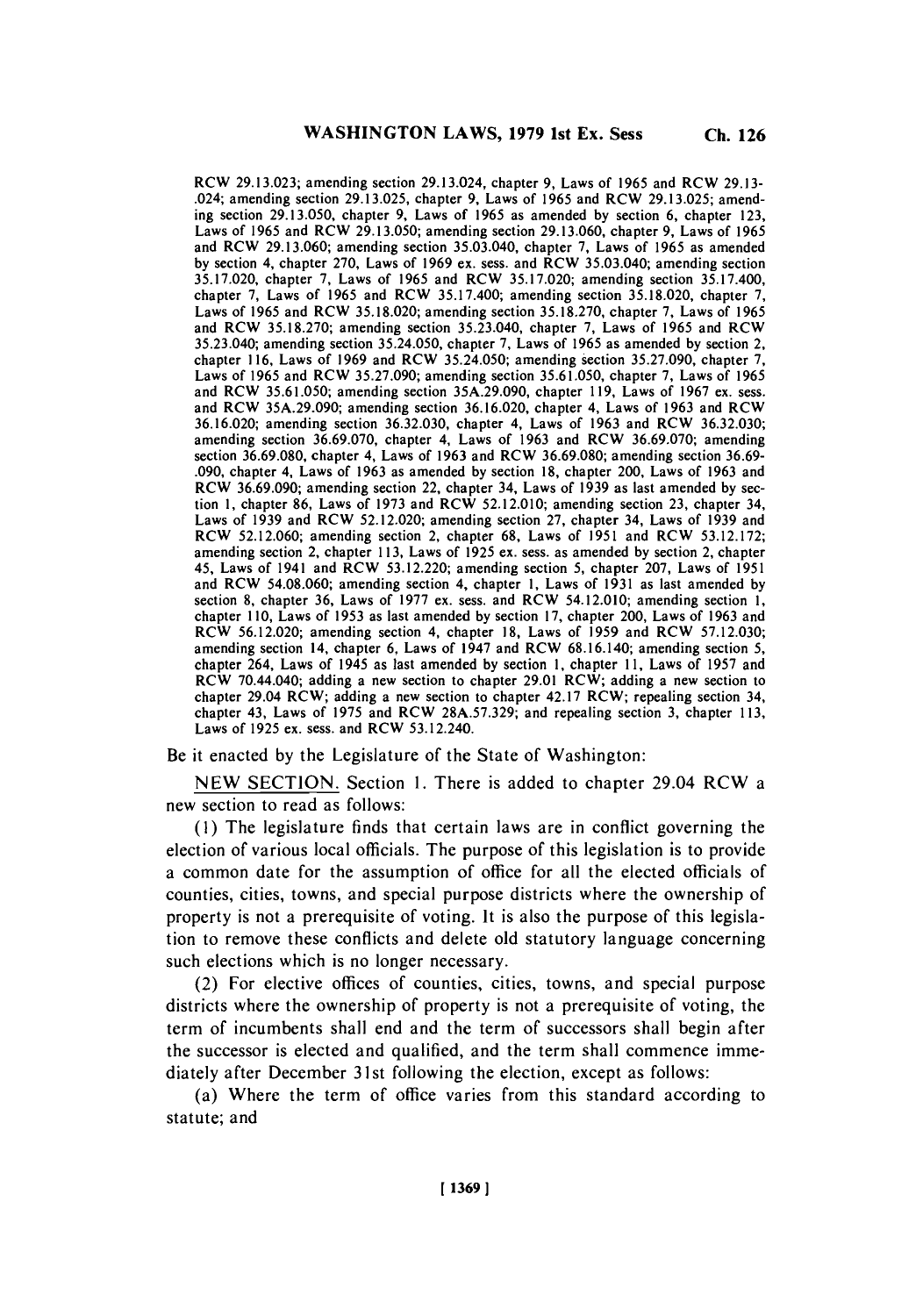RCW **29.13.023;** amending section 29.13.024, chapter **9,** Laws of **1965** and RCW **29.13-** .024; amending section **29.13.025,** chapter **9,** Laws of **1965** and RCW **29.13.025;** amending section **29.13.050,** chapter **9,** Laws of **1965** as amended **by** section **6,** chapter **123,** Laws of **1965** and RCW **29.13.050;** amending section **29.13.060,** chapter **9,** Laws of **1965** and RCW **29.13.060;** amending section 35.03.040, chapter **7,** Laws of **1965** as amended **by** section 4, chapter **270,** Laws of **1969** ex. sess. and RCW 35.03.040; amending section **35.17.020,** chapter **7,** Laws of **1965** and RCW **35.17.020;** amending section **35.17.400,** chapter **7,** Laws of **1965** and RCW **35.17.400;** amending section **35.18.020,** chapter **7,** Laws of **1965** and RCW **35.18.020;** amending section **35.18.270,** chapter **7,** Laws of **1965** and RCW **35.18.270;** amending section 35.23.040, chapter **7,** Laws of **1965** and RCW 35.23.040; amending section **35.24.050,** chapter **7,** Laws of **1965** as amended **by** section 2, chapter **116,** Laws of **1969** and RCW **35.24.050;** amending section **35.27.090,** chapter **7,** Laws of **1965** and RCW **35.27.090;** amending section **35.61.050,** chapter **7,** Laws of **1965** and RCW **35.61.050;** amending section **35A.29.090,** chapter **119,** Laws of **1967** ex. sess. and RCW **35A.29.090;** amending section **36.16.020,** chapter 4, Laws of **1963** and RCW **36.16.020;** amending section **36.32.030,** chapter 4, Laws of **1963** and RCW **36.32.030;** amending section **36.69.070,** chapter 4, Laws of **1963** and RCW **36.69.070;** amending section **36.69.080,** chapter 4, Laws of **1963** and RCW **36.69.080;** amending section **36.69- .090,** chapter 4, Laws of **1963** as amended **by** section **18,** chapter 200, Laws of **1963** and RCW **36.69.090;** amending section 22, chapter 34, Laws of **1939** as last amended **by** section **1,** chapter **86,** Laws of **1973** and RCW **52.12.010;** amending section **23,** chapter 34, Laws of **1939** and RCW **52.12.020;** amending section **27,** chapter 34, Laws of **1939** and RCW **52.12.060;** amending section 2, chapter **68,** Laws of **1951** and RCW **53.12.172;** amending section 2, chapter **113,** Laws of **1925** ex. sess. as amended **by** section 2, chapter *45,* Laws of 1941 and RCW **53.12.220;** amending section **5,** chapter **207,** Laws of **1951** and RCW **54.08.060;** amending section 4, chapter **1,** Laws of **1931** as last amended **by** section **8,** chapter **36,** Laws of **1977** ex. sess. and RCW 54.12.010; amending section **1,** chapter **110,** Laws of **1953** as last amended **by** section **17,** chapter 200, Laws of **1963** and RCW **56.12.020;** amending section 4, chapter **18,** Laws of **1959** and RCW **57.12.030;** amending section 14, chapter **6,** Laws of 1947 and RCW **68.16.140;** amending section *5,* chapter 264, Laws of 1945 as last amended **by** section **1,** chapter **11,** Laws of **1957** and RCW 70.44.040; adding a new section to chapter **29.01** RCW; adding a new section to chapter 29.04 RCW; adding a new section to chapter 42.17 RCW; repealing section 34, chapter 43, Laws of **1975** and RCW **28A.57.329;** and repealing section **3,** chapter **113,** Laws of **1925** ex. sess. and RCW 53.12.240.

Be it enacted **by** the Legislature of the State of Washington:

**NEW SECTION.** Section **1.** There is added to chapter 29.04 RCW a new section to read as **follows:**

**(1)** The legislature finds that certain laws are in conflict governing the election of various local officials. The purpose of this legislation is to provide a common date for the assumption of office for all the elected officials of counties, cities, towns, and special purpose districts where the ownership of property is not a prerequisite of voting. It is also the purpose of this legislation to remove these conflicts and delete old statutory language concerning such elections which is no longer necessary.

(2) For elective offices of counties, cities, towns, and special purpose districts where the ownership of property is not a prerequisite of voting, the term of incumbents shall end and the term of successors shall begin after the successor is elected and qualified, and the term shall commence immediately after December 31st following the election, except as follows:

(a) Where the term of office varies from this standard according to statute: and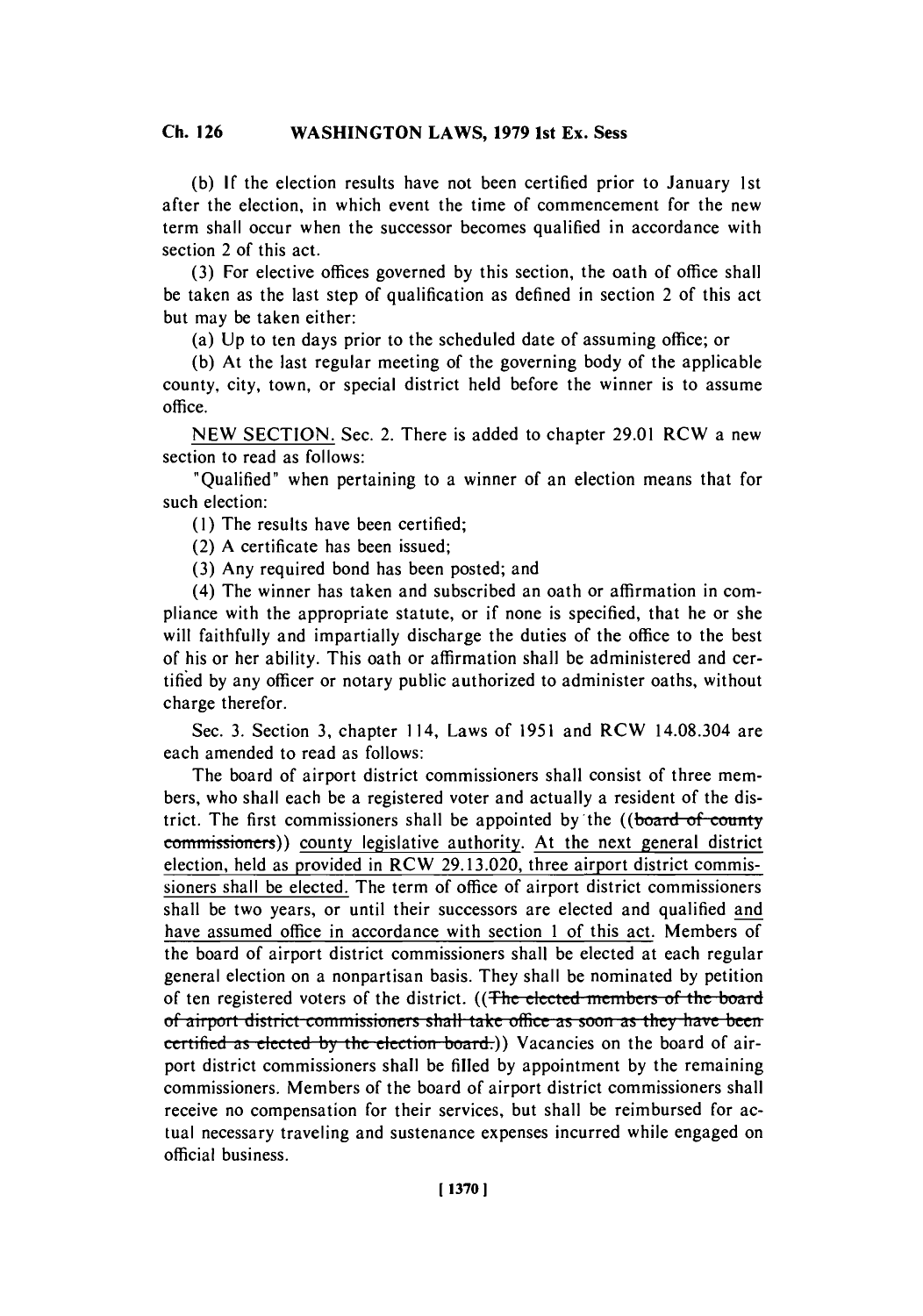**(b) If** the election results have not been certified prior to January 1st after the election, in which event the time of commencement for the new term shall occur when the successor becomes qualified in accordance with section 2 of this act.

**(3)** For elective offices governed **by** this section, the oath of office shall be taken as the last step of qualification as defined in section 2 of this act but may be taken either:

(a) **Up** to ten days prior to the scheduled date of assuming office; or

**(b)** At the last regular meeting of the governing body of the applicable county, city, town, or special district held before the winner is to assume **office.**

**NEW SECTION.** Sec. 2. There is added to chapter **29.01** RCW a new section to read as follows:

"Qualified" when pertaining to a winner of an election means that for such election:

**(1)** The results have been certified;

(2) **A** certificate has been issued;

**(3)** Any required bond has been posted; and

(4) The winner has taken and subscribed an oath or affirmation in compliance with the appropriate statute, or if none is specified, that he or she will faithfully and impartially discharge the duties of the office to the best of his or her ability. This oath or affirmation shall be administered and certified **by** any officer or notary public authorized to administer oaths, without charge therefor.

Sec. **3.** Section **3,** chapter 114, Laws of **1951** and RCW 14.08.304 are each amended to read as follows:

The board of airport district commissioners shall consist of three members, who shall each be a registered voter and actually a resident of the district. The first commissioners shall be appointed by the ((board of county commissioners)) county legislative authority. At the next general district election, held as provided in RCW **29.13.020,** three airport district commissioners shall be elected. The term of office of airport district commissioners shall be two years, or until their successors are elected and qualified and have assumed office in accordance with section 1 of this act. Members of the board of airport district commissioners shall be elected at each regular general election on a nonpartisan basis. They shall be nominated **by** petition of ten registered voters of the district. ((The elected members of the board of airport district commissioners shall take office as soon as they have been<br>certified as elected by the election board.)) Vacancies on the board of airport district commissioners shall be filled **by** appointment **by** the remaining commissioners. Members of the board of airport district commissioners shall receive no compensation for their services, but shall be reimbursed for actual necessary traveling and sustenance expenses incurred while engaged on official business.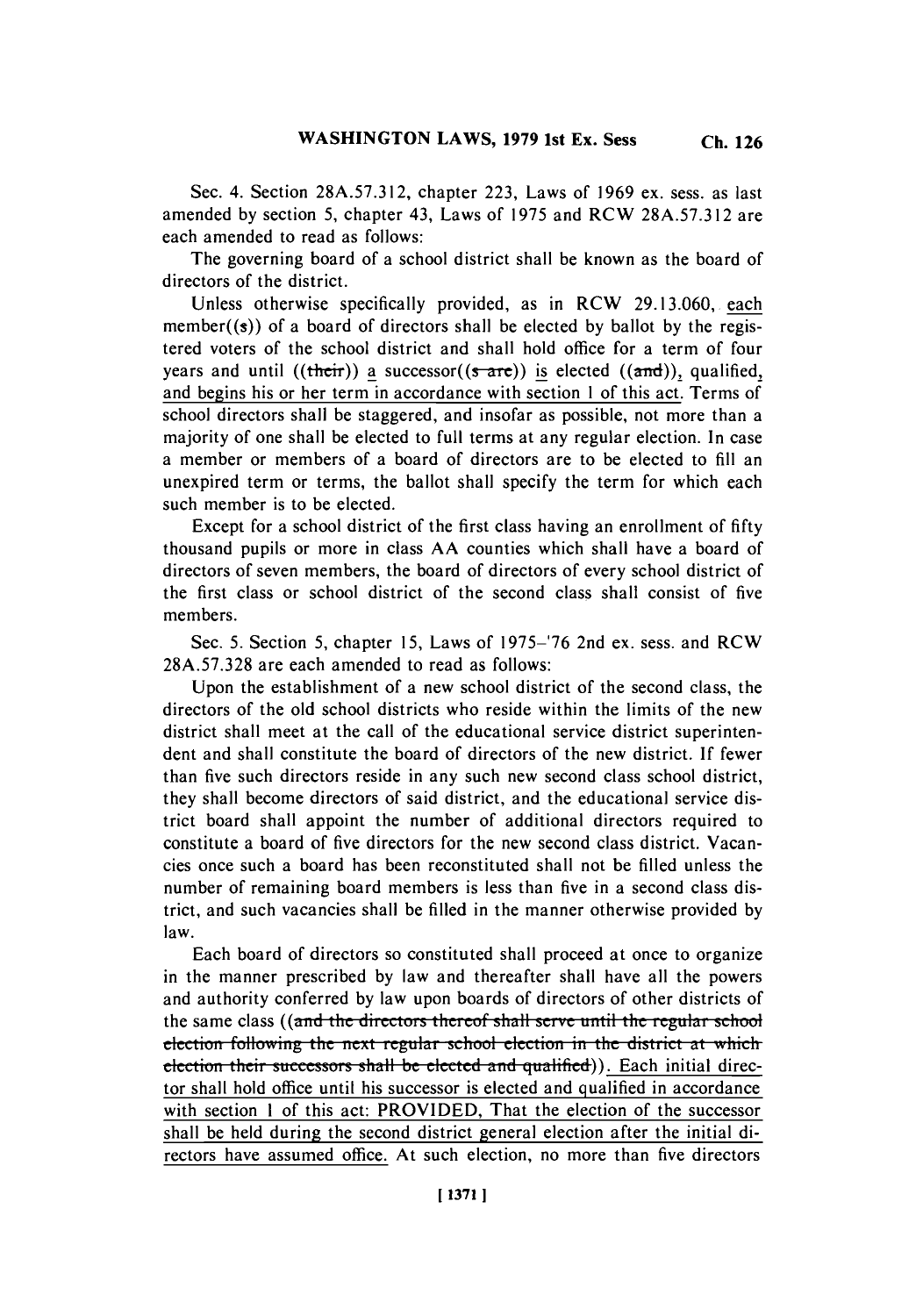**Sec. 4. Section 28A.57.312,** chapter **223,** Laws of **1969** ex. sess. as last amended **by** section *5,* chapter 43, Laws of **1975** and RCW **28A.57.312** are each amended to read as follows:

The governing board of a school district shall be known as the board of directors of the district.

Unless otherwise specifically provided, as in RCW **29.13.060,.** each member((s)) of a board of directors shall be elected **by** ballot **by** the registered voters of the school district and shall hold office for a term of four years and until ((their)) a successor( $(s<sub>ar</sub>e)$ ) is elected ( $(\text{and})$ ), qualified, and begins his or her term in accordance with section **I** of this act. Terms of school directors shall be staggered, and insofar as possible, not more than a majority of one shall be elected to full terms at any regular election. In case a member or members of a board of directors are to be elected to **fill** an unexpired term or terms, the ballot shall specify the term for which each such member is to **be** elected.

Except for a school district of the first class having an enrollment of **fifty** thousand pupils or more in class **AA** counties which shall have a board of directors of seven members, the board of directors of every school district of the first class or school district of the second class shall consist of five members.

Sec. **5.** Section *5,* chapter *15,* Laws of **1975-'76** 2nd ex. sess. and RCW **28A.57.328** are each amended to read as follows:

Upon the establishment of a new school district of the second class, the directors of the old school districts who reside within the limits of the new district shall meet at the call of the educational service district superintendent and shall constitute the board of directors of the new district. **If** fewer than five such directors reside in any such new second class school district, they shall become directors of said district, and the educational service district board shall appoint the number of additional directors required to constitute a board of five directors for the new second class district. Vacancies once such a board has been reconstituted shall not be filled unless the number of remaining board members is less than five in a second class district, and such vacancies shall be filled in the manner otherwise provided **by** law.

Each board of directors so constituted shall proceed at once to organize in the manner prescribed **by** law and thereafter shall have all the powers and authority conferred **by** law upon boards of directors of other districts of the same class ((and the directors thereof shall serve until the regular school election following the next regular school election in the district at which election their successors shall be elected and qualified)). Each initial director shall hold office until his successor is elected and qualified in accordance with section **I** of this act: PROVIDED, That the election of the successor shall be held during the second district general election after the initial directors have assumed office. At such election, no more than five directors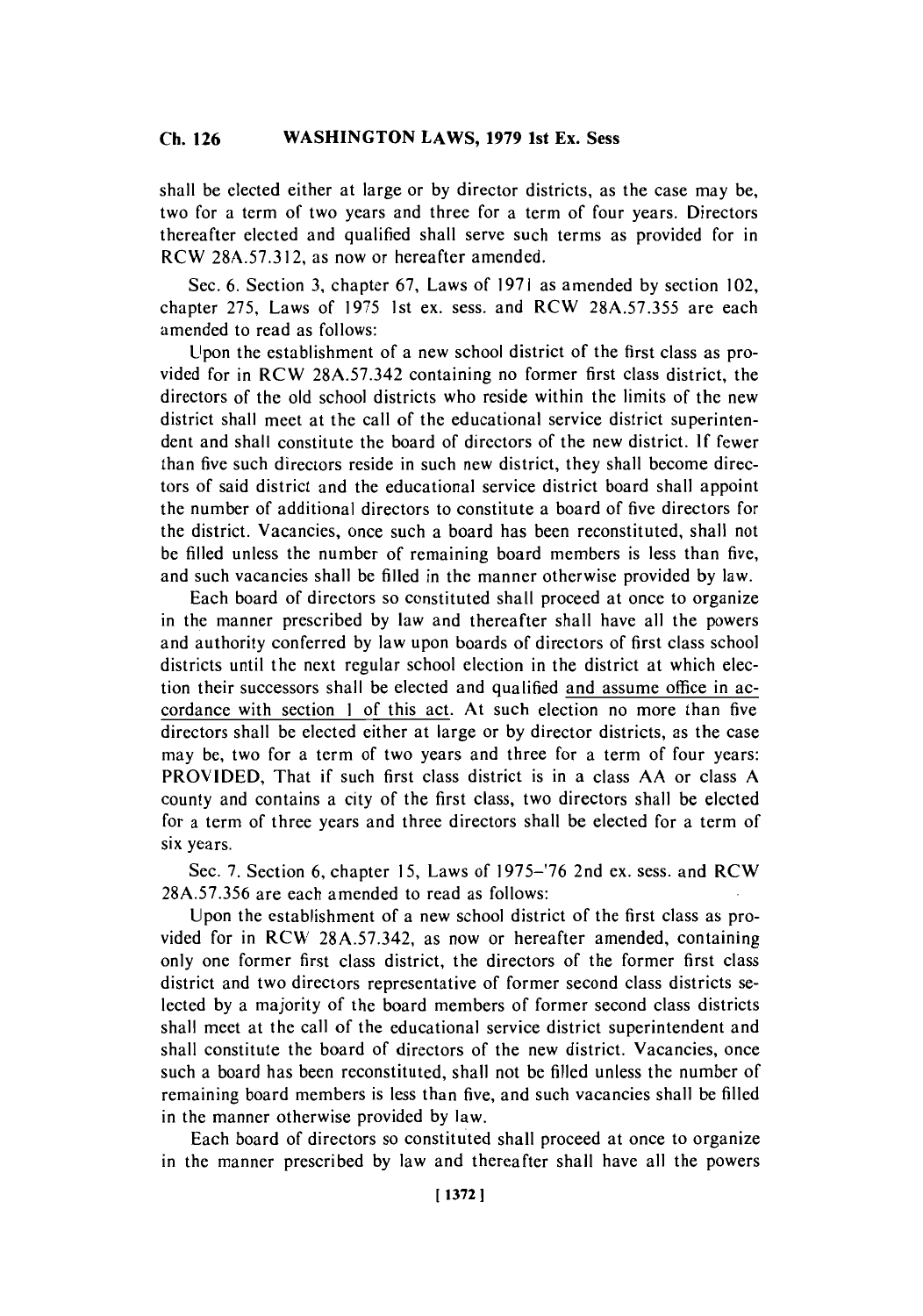shall be elected either at large or **by** director districts, as the case may be, two for a term of two years and three for a term of four years. Directors thereafter elected and qualified shall serve such terms as provided for in RCW **28A.57.3 12,** as now or hereafter amended.

Sec. **6.** Section **3,** chapter **67,** Laws of **1971** as amended **by** section 102, chapter **275,** Laws of **1975** 1st ex. sess. and RCW **28A.57.355** are each amended to read as follows:

Upon the establishment of a new school district of the first class as provided for in RCW **28A.57.342** containing no former first class district, the directors of the old school districts who reside within the limits of the new district shall meet at the call of the educational service district superintendent and shall constitute the board of directors of the new district. **If** fewer than five such directors reside in such new district, they shall become directors of said district and the educational service district board shall appoint the number of additional directors to constitute a board of five directors for the district. Vacancies, once such a board has been reconstituted, shall not be filled unless the number of remaining board members is less than five, and such vacancies shall **be** filled in the manner otherwise provided **by** law.

Each board of directors so constituted shall proceed at once to organize in the manner prescribed **by** law and thereafter shall have all the powers and authority conferred **by** law upon boards of directors of first class school districts until the next regular school election in the district at which election their successors shall be elected and qualified and assume office in accordance with section **I** of this act. At such election no more than five directors shall be elected either at large or **by** director districts, as the case may be, two for a term of two years and three for a term of four years: PROVIDED, That if such first class district is in a class **AA** or class **A** county and contains a city of the first class, two directors shall be elected for a term of three years and three directors shall be elected for a term of six years.

Sec. **7.** Section **6,** chapter **15,** Laws of **1975-'76** 2nd ex. sess. and RCW **28A.57.356** are each amended to read as follows:

Upon the establishment of a new school district of the first class as provided for in RCW **28A.57.342,** as now or hereafter amended, containing only one former first class district, the directors of the former first class district and two directors representative of former second class districts selected **by** a majority of the board members of former second class districts shall meet at the call of the educational service district superintendent and shall constitute the board of directors of the new district. Vacancies, once such a board has been reconstituted, shall not be **filled** unless the number of remaining board members is less than five, and such vacancies shall be filled in the manner otherwise provided **by** law.

Each board of directors so constituted shall proceed at once to organize in the manner prescribed **by** law and thereafter shall have all the powers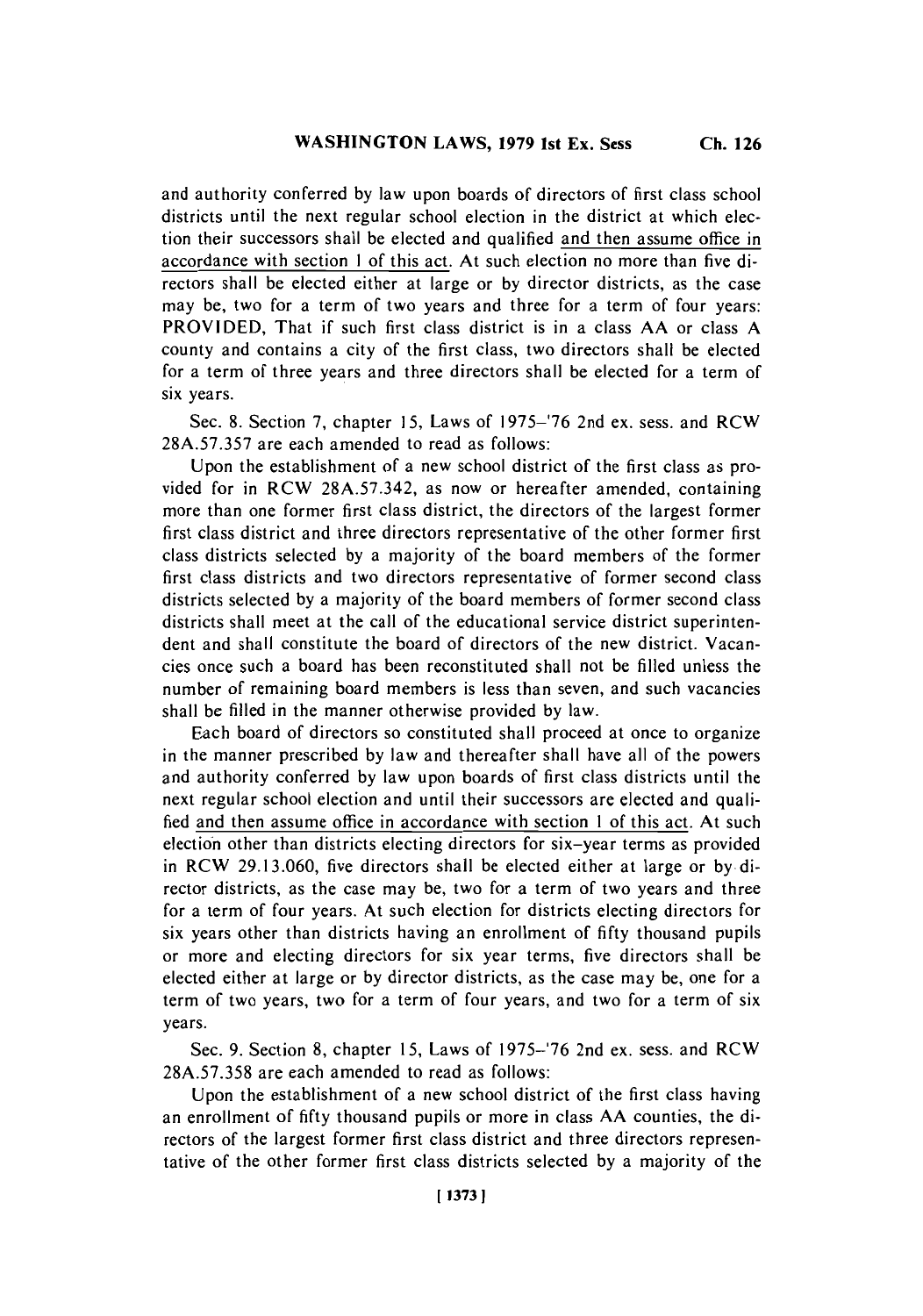and authority conferred **by** law upon boards of directors of first class school districts until the next regular school election in the district at which election their successors shall be elected and qualified and then assume office in accordance with section 1 of this act. At such election no more than five directors shall be elected either at large or **by** director districts, as the case may be, two for a term of two years and three for a term of four years: PROVIDED, That if such first class district is in a class **AA** or class **A** county and contains a city of the first class, two directors shall be elected for a term of three years and three directors shall be elected for a term of six years.

Sec. **8.** Section **7,** chapter **15,** Laws of **1975-'76** 2nd ex. sess. and RCW **28A.57.357** are each amended to read as follows:

Upon the establishment of a new school district of the first class as provided for in RCW **28A.57.342,** as now or hereafter amended, containing more than one former first class district, the directors of the largest former first class district and three directors representative of the other former first class districts selected **by** a majority of the board members of the former first class districts and two directors representative of former second class districts selected **by** a majority of the board members of former second class districts shall meet at the call of the educational service district superintendent and shall constitute the board of directors of the new district. Vacancies once such a board has been reconstituted shall not be filled unless the number of remaining board members is less than seven, and such vacancies shall be filled in the manner otherwise provided **by** law.

Each board of directors so constituted shall proceed at once to organize in the manner prescribed **by** law and thereafter shall have all of the powers and authority conferred **by** law upon boards of first class districts until the next regular school election and until their successors are elected and qualified and then assume office in accordance with section 1 of this act. At such election other than districts electing directors for six-year terms as provided in RCW **29.13.060,** five directors shall be elected either at large or **by** director districts, as the case may be, two for a term of two years and three for a term of four years. At such election for districts electing directors for six years other than districts having an enrollment of **fifty** thousand pupils or more and electing directors for six year terms, five directors shall be elected either at large or **by** director districts, as the case may be, one for a term of two years, two for a term of four years, and two for a term of six years.

Sec. **9.** Section **8,** chapter **15,** Laws of **1975-'76** 2nd ex. sess. and RCW **28A.57.358** are each amended to read as follows:

Upon the establishment of a new school district of the first class having an enrollment of **fifty** thousand pupils or more in class **AA** counties, the directors of the largest former first class district and three directors representative of the other former first class districts selected **by** a majority of the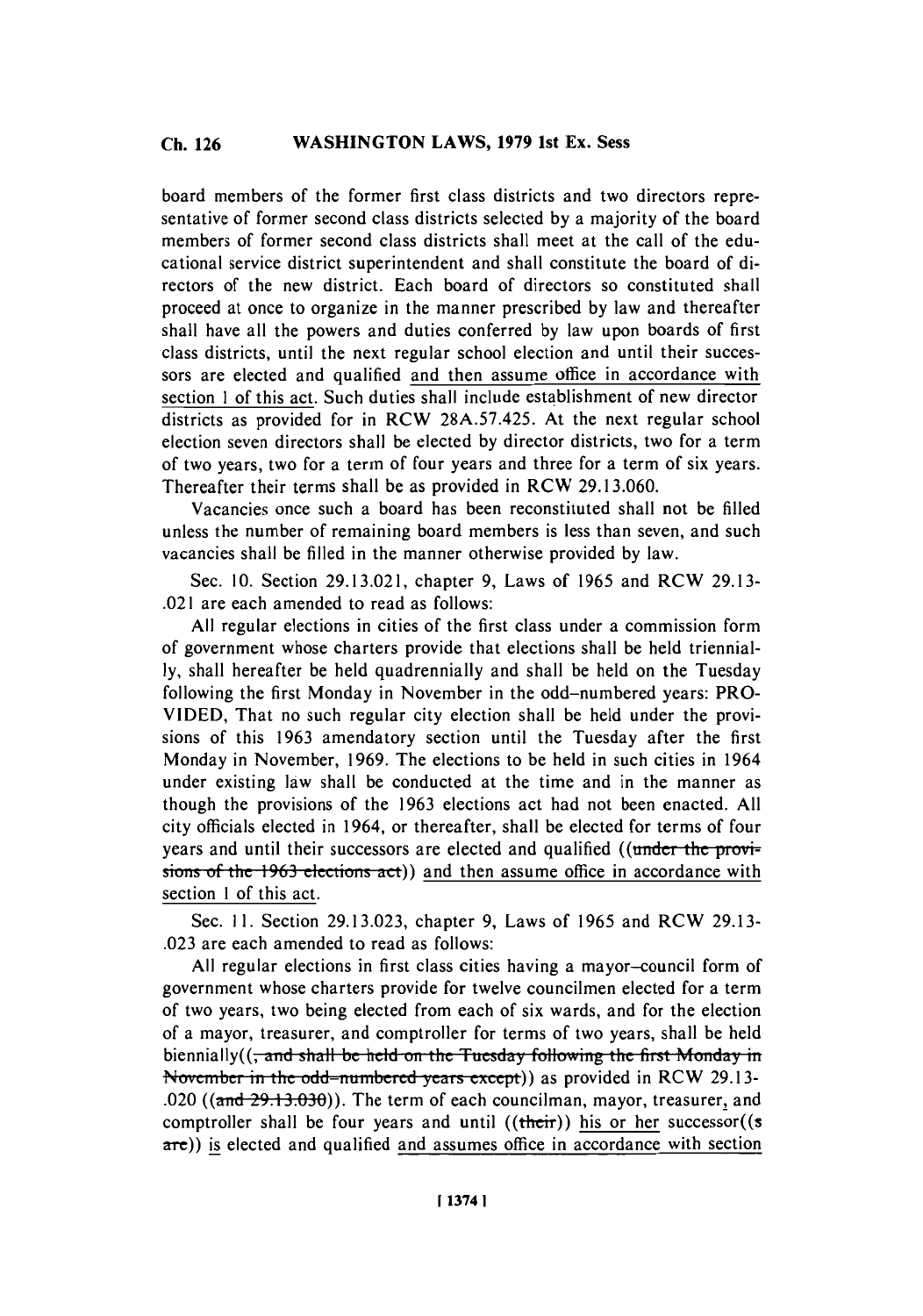board members of the former first class districts and two directors representative of former second class districts selected **by** a majority of the board members of former second class districts shall meet at the call of the educational service district superintendent and shall constitute the board of directors of the new district. Each board of directors so constituted shall proceed at once to organize in the manner prescribed **by** law and thereafter shall have all the powers and duties conferred **by** law upon boards of first class districts, until the next regular school election and until their successors are elected and qualified and then assume office in accordance with section 1 of this act. Such duties shall include establishment of new director districts as provided for in RCW **28A.57.425.** At the next regular school election seven directors shall be elected **by** director districts, two for a term of two years, two for a term of four years and three for a term of six years. Thereafter their terms shall be as provided in RCW **29.13.060.**

Vacancies once such a board has been reconstituted shall not be filled unless the number of remaining board members is less than seven, and such vacancies shall be filled in the manner otherwise provided **by** law.

Sec. **10.** Section **29.13.021,** chapter **9,** Laws of **1965** and RCW **29.13-** .021 are each amended to read as follows:

**All** regular elections in cities of the first class under a commission form of government whose charters provide that elections shall be held triennial**ly,** shall hereafter be held quadrennially and shall be held on the Tuesday following the first Monday in November in the odd-numbered years: PRO-**VIDED,** That no such regular city election shall be held under the provisions of this **1963** amendatory section until the Tuesday after the first Monday in November, **1969.** The elections to be held in such cities in 1964 under existing law shall be conducted at the time and in the manner as though the provisions of the **1963** elections act had not been enacted. **All** city officials elected in 1964, or thereafter, shall be elected for terms of four years and until their successors are elected and qualified ((under the provisions of the 1963 elections act)) and then assume office in accordance with section **I** of this act.

Sec. **11.** Section **29.13.023,** chapter **9,** Laws of **1965** and RCW **29.13- .023** are each amended to read as follows:

**All** regular elections in first class cities having a mayor-council form of government whose charters provide for twelve councilmen elected for a term of two years, two being elected from each of six wards, and for the election of a mayor, treasurer, and comptroller for terms of two years, shall be held biennially( $\left(\frac{1}{2}$  and shall be held on the Tuesday following the first Monday in November in the odd-numbered years except)) as provided in RCW 29.13-.020 ((a-nd **29.-l3.030)).** The term of each councilman, mayor, treasurer, and comptroller shall be four years and until  $((then))$  his or her successor $((s$ are)) is elected and qualified and assumes office in accordance with section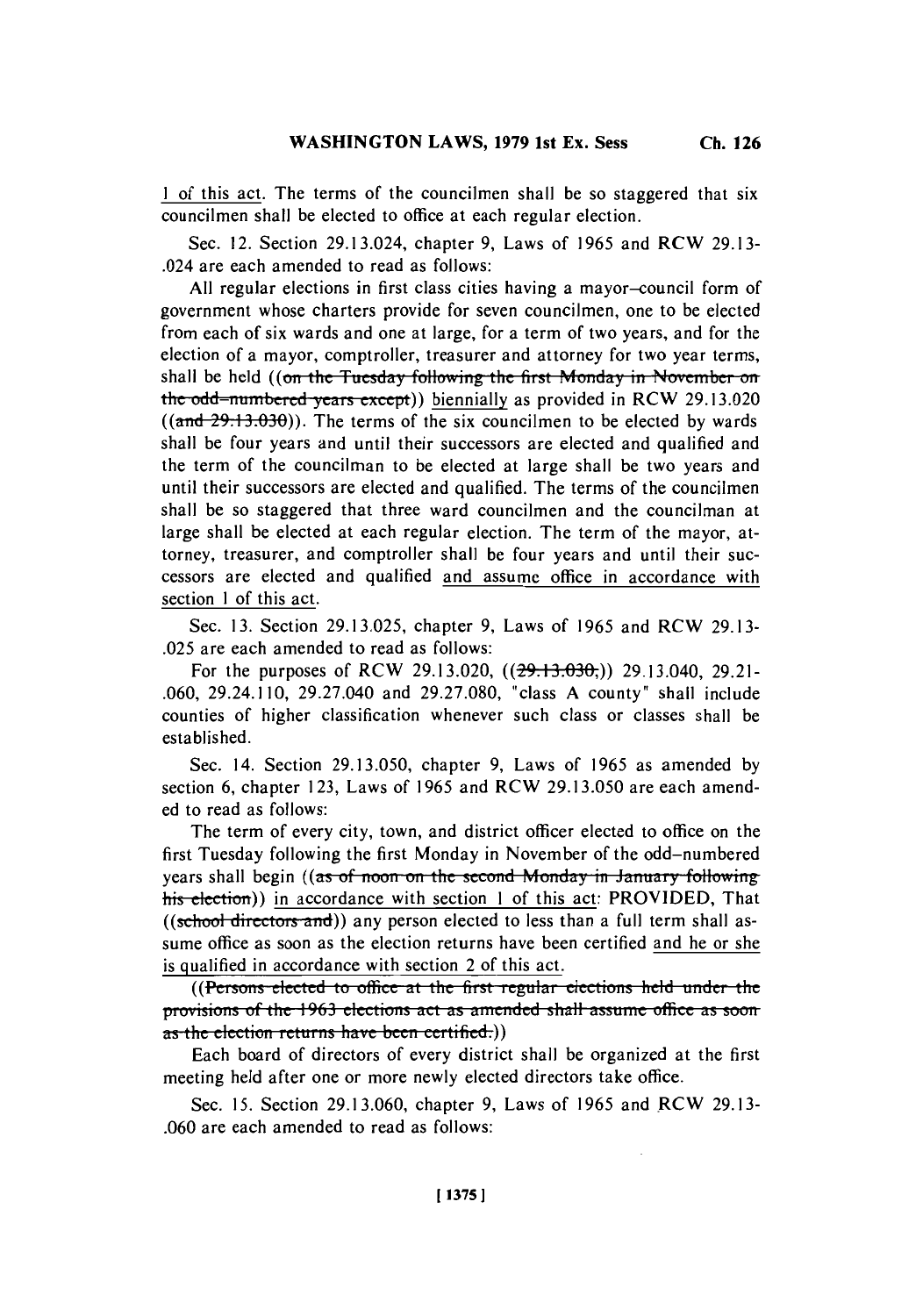1 of this act. The terms of the councilmen shall be so staggered that six councilmen shall be elected to office at each regular election.

Sec. 12. Section 29.13.024, chapter **9,** Laws of **1965** and RCW **29.13-** .024 are each amended to read as follows:

**All** regular elections in first class cities having a mayor-council form of government whose charters provide for seven councilmen, one to be elected from each of six wards and one at large, for a term of two years, and for the election of a mayor, comptroller, treasurer and attorney for two year terms, shall be held ((on the Tuesday following the first Monday in November on the odd-numbered vears except)) biennially as provided in RCW 29.13.020  $((and 29.13.030))$ . The terms of the six councilmen to be elected by wards shall he four years and until their successors are elected and qualified and the term of the councilman to be elected at large shall be two years and until their successors are elected and qualified. The terms of the councilmen shall be so staggered that three ward councilmen and the councilman at large shall be elected at each regular election. The term of the mayor, attorney, treasurer, and comptroller shall be four years and until their successors are elected and qualified and assume office in accordance with section **I** of this act.

Sec. **13.** Section **29.13.025,** chapter **9,** Laws of **1965** and RCW **29.13- .025** are each amended to read as follows:

For the purposes of RCW 29.13.020,  $((29.13.030))$  29.13.040, 29.21-**.060,** 29.24.110, 29.27.040 and **29.27.080,** "class **A** county" shall include counties of higher classification whenever such class or classes shall be established.

Sec. 14. Section **29.13.050,** chapter **9,** Laws of **1965** as amended **by** section **6,** chapter **123,** Laws of **1965** and RCW **29.13.050** are each amended to read as follows:

The term of every city, town, and district officer elected to office on the first Tuesday following the first Monday in November of the odd-numbered years shall begin ((as of noon on the second Monday in January following his election)) in accordance with section 1 of this act: PROVIDED, That ((school directors and)) any person elected to less than a full term shall assume office as soon as the election returns have been certified and he or she is qualified in accordance with section 2 of this act.

((Persons elected to office at the first regular elections held under the... **provisions of the 1963 elections act as amended shall assume office as soon** as the election returns have been certified.)

Each board of directors of every district shall be organized at the first meeting held after one or more newly elected directors take office.

Sec. **15.** Section **29.13.060,** chapter **9,** Laws of **1965** and RCW **29.13- .060** are each amended to read as follows: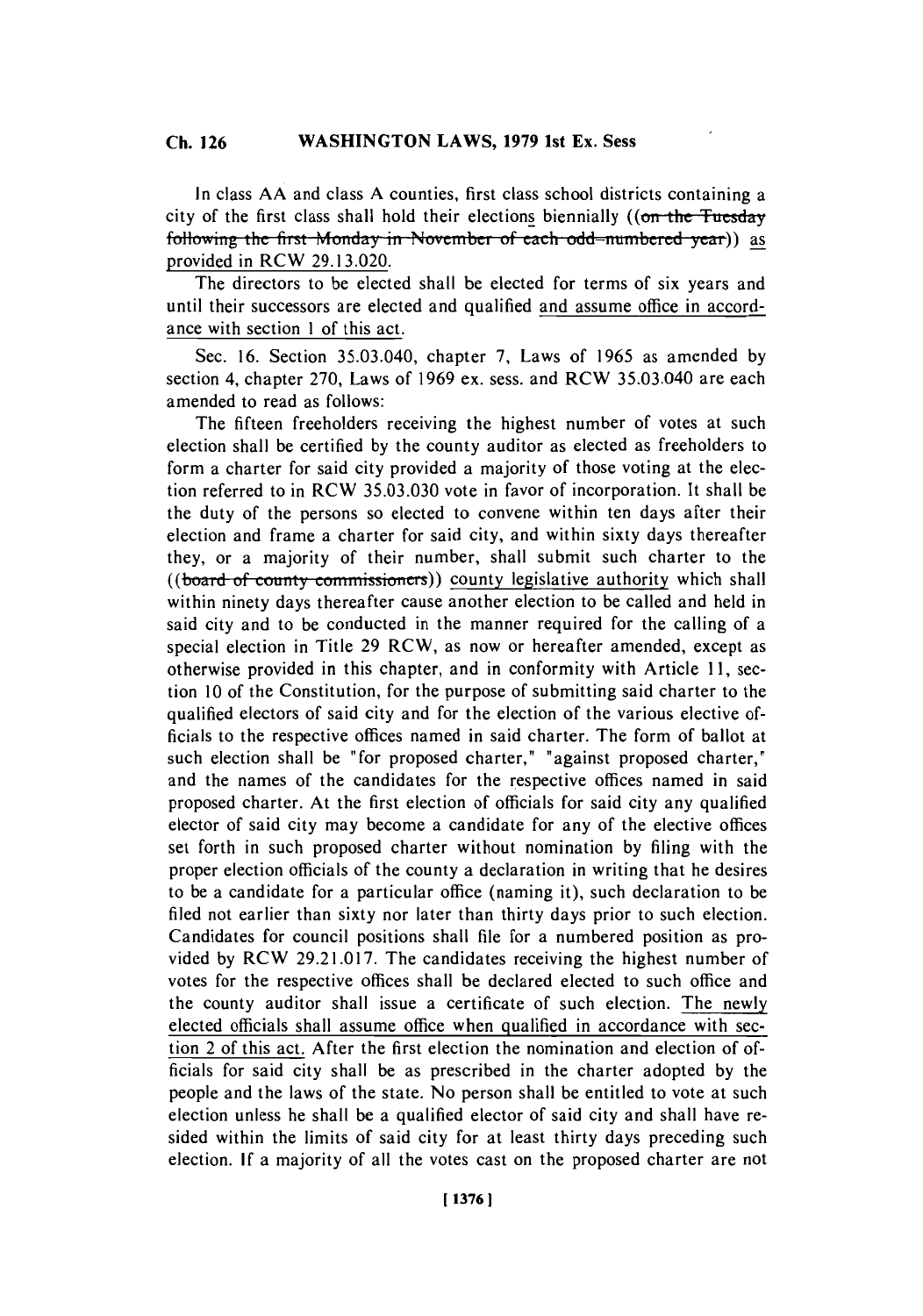In class **AA** and class **A** counties, first class school districts containing a city of the first class shall hold their elections biennially (( $\sigma$  the Tuesday following the first Monday in November of each odd-numbered year)) as provided in RCW **29.13.020.**

The directors to be elected shall be elected for terms of six years and until their successors are elected and qualified and assume office in accordance with section 1 of this act.

Sec. **16.** Section 35.03.040, chapter **7,** Laws of **1965** as amended **by** section 4, chapter **270,** Laws of **1969** ex. sess. and RCW 35.03.040 are each amended to read as follows:

The fifteen freeholders receiving the highest number of votes at such election shall be certified **by** the county auditor as elected as freeholders to form a charter for said city provided a majority of those voting at the election referred to in RCW 35.03.030 vote in favor of incorporation. It shall be the duty of the persons so elected to convene within ten days after their election and frame a charter for said city, and within sixty days thereafter they, or a majority of their number, shall submit such charter to the ((board of county commissioners)) county legislative authority which shall within ninety days thereafter cause another election to be called and held in said city and to be conducted in the manner required for the calling of a special election in Title **29 RCW,** as now or hereafter amended, except as otherwise provided in this chapter, and in conformity with Article **11,** section **10** of the Constitution, for the purpose of submitting said charter to the qualified electors of said city and for the election of the various elective officials to the respective offices named in said charter. The form of ballot at such election shall be "for proposed charter," "against proposed charter," and the names of the candidates for the respective offices named in said proposed charter. At the first election of officials for said city any qualified elector of said city may become a candidate for any of the elective offices set forth in such proposed charter without nomination **by** filing with the proper election officials of the county a declaration in writing that he desires to be a candidate for a particular office (naming it). such declaration to be filed not earlier than sixty nor later than thirty days prior to such election. Candidates for council positions shall file for a numbered position as provided **by** RCW **29.21.017.** The candidates receiving the highest number of votes for the respective offices shall be declared elected to such office and the county auditor shall issue a certificate of such election. The newly elected officials shall assume office when qualified in accordance with section 2 of this act. After the first election the nomination and election of officials for said city shall be as prescribed in the charter adopted **by** the people and the laws of the state. No person shall be entitled to vote at such election unless he shall be a qualified elector of said city and shall have resided within the limits of said city for at least thirty days preceding such election. **If** a majority of all the votes cast on the proposed charter are not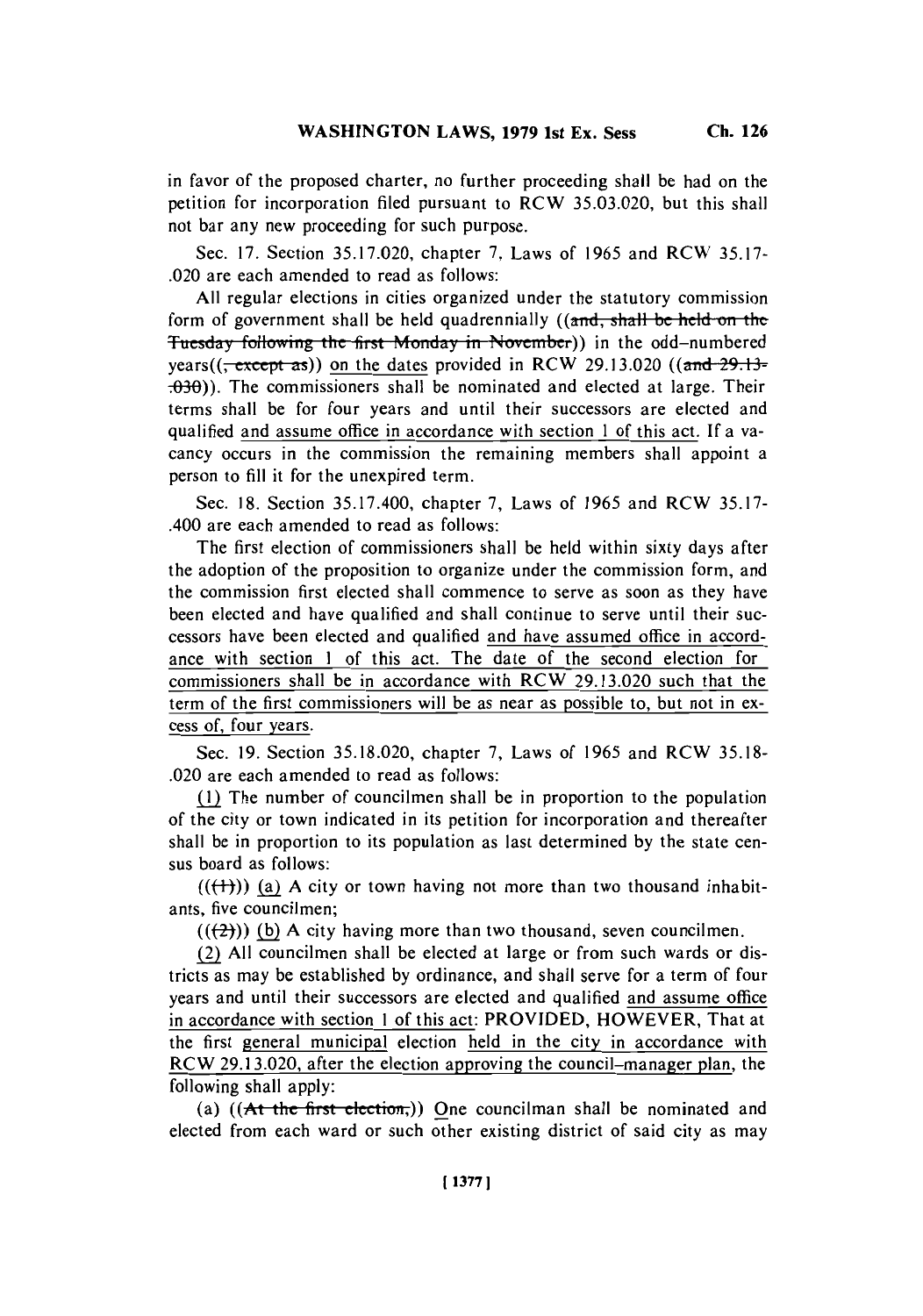in favor of the proposed charter, no further proceeding shall be had on the petition for incorporation filed pursuant to RCW **35.03.020,** but this shall not bar any new proceeding for such purpose.

Sec. **17.** Section **35.17.020,** chapter **7,** Laws of **1965** and RCW **35.17-** .020 are each amended to read as follows:

**All** regular elections in cities organized under the statutory commission form of government shall be held quadrennially ((and, shall be held on the Tuesday following the first Monday in November)) in the odd-numbered years( $(\frac{\text{except}}{\text{as}})$ ) on the dates provided in RCW 29.13.020 ((and  $\frac{29.13}{29.13.020}$ ) **.0-30)).** The commissioners shall be nominated and elected at large. Their terms shall be for four years and until their successors are elected and qualified and assume office in accordance with section 1 of this act. **If** a vacancy occurs in the commission the remaining members shall appoint a person to **fill** it for the unexpired term.

Sec. **18.** Section **35.17.400,** chapter **7,** Laws of **1965** and RCW **35.17-** .400 are each amended to read as follows:

The first election of commissioners shall be held within sixty days after the adoption of the proposition to organize under the commission form, and the commission first elected shall commence to serve as soon as they have been elected and have qualified and shall continue to serve until their successors have been elected and qualified and have assumed office in accordance with section 1 of this act. The date of the second election for commissioners shall be in accordance with RCW **29.13.020** such that the term of the first commissioners will be as near as possible to, but not in excess of, four years.

Sec. **19.** Section **35.18.020,** chapter **7,** Laws of **1965** and RCW **35.18-** .020 are each amended to read as follows:

*Mf* The number of councilmen shall be in proportion to the population of the city or town indicated in its petition for incorporation and thereafter shall be in proportion to its population as last determined **by** the state census board as follows:

 $((+))$  (a) A city or town having not more than two thousand inhabitants, five councilmen;

 $((2))$  (b) A city having more than two thousand, seven councilmen.

(2 **All** councilmen shall be elected at large or from such wards or districts as may be established **by** ordinance, and shall serve for a term of four years and until their successors are elected and qualified and assume office in accordance with section 1 of this act: PROVIDED, HOWEVER, That at the first general municipal election held in the city in accordance with RCW **29.13.020,** after the election approving the council-manager plan, the following shall apply:

(a)  $((A<sup>t</sup> the first electron))$  One councilman shall be nominated and elected from each ward or such other existing district of said city as may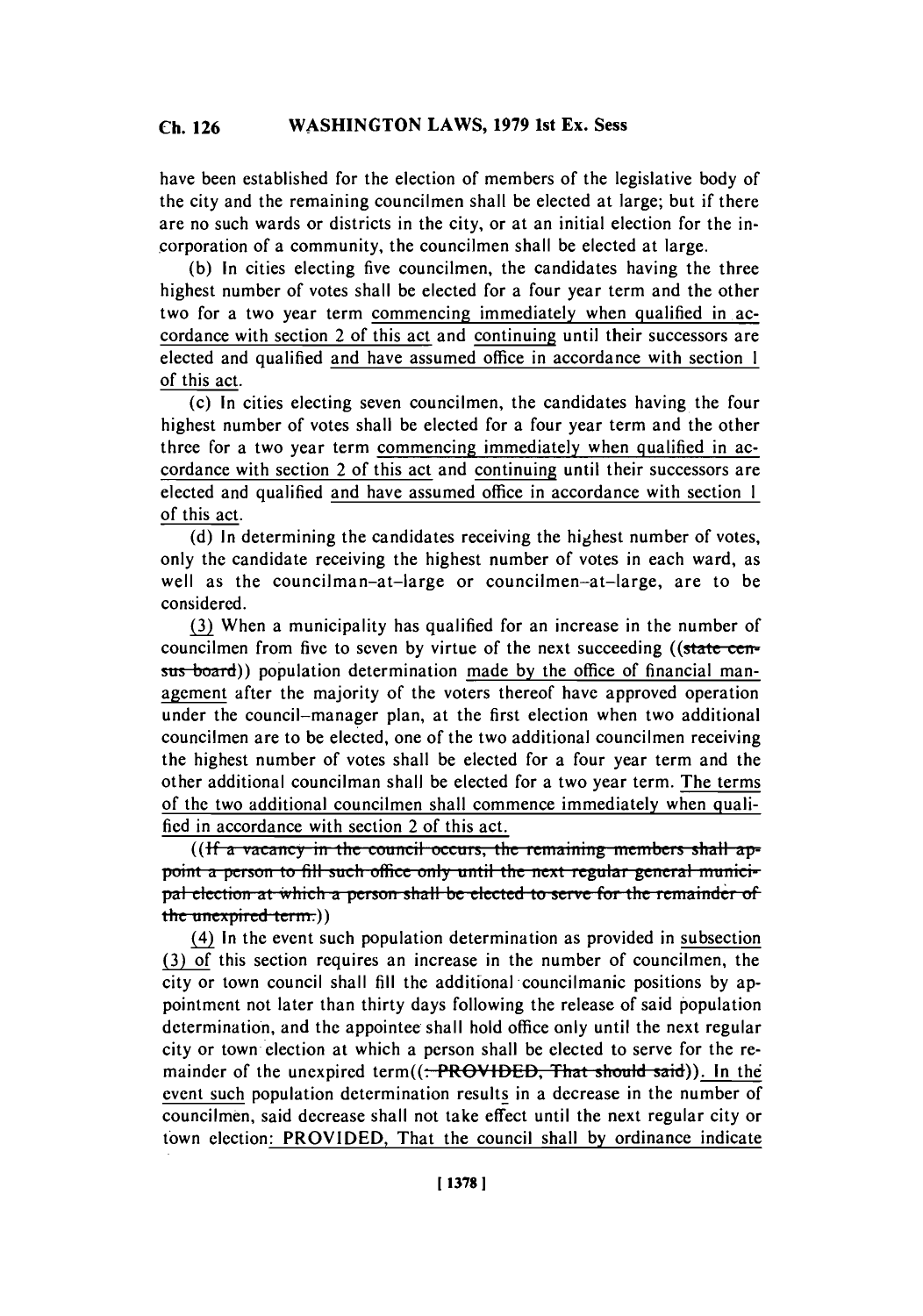have been established for the election of members of the legislative body of the city and the remaining councilmen shall be elected at large; but if there are no such wards or districts in the city, or at an initial election for the incorporation of a community, the councilmen shall be elected at large.

**(b)** In cities electing five councilmen, the candidates having the three highest number of votes shall be elected for a four year term and the other two for a two year term commencing immediately when qualified in accordance with section 2 of this act and continuing until their successors are elected and qualified and have assumed office in accordance with section 1 of this act.

(c) In cities electing seven councilmen, the candidates having the four highest number of votes shall be elected for a four year term and the other three for a two year term commencing immediately when qualified in accordance with section 2 of this act and continuing until their successors are elected and qualified and have assumed office in accordance with section **1.** of this act.

**(d)** In determining the candidates receiving the highest number of votes, only the candidate receiving the highest number of votes in each ward, as well as the councilman-at-large or councilmen-at-large, are to be considered.

**(3)** When a municipality has qualified for an increase in the number of councilmen from five to seven by virtue of the next succeeding ((state censtis-board)) population determination made **by** the office of financial management after the majority of the voters thereof have approved operation under the council-manager plan, at the first election when two additional councilmen are to be elected, one of the two additional councilmen receiving the highest number of votes shall be elected for a four year term and the other additional councilman shall be elected for a two year term. The terms of the two additional councilmen shall commence immediately when quali**fied** in accordance with section 2 of this act.

**((If a vacancy in the council occurs, the remaining members shall ap**point a person to fill such office only until the next regular general munici*pal election at which a person shall be elected to serve for the remainder of* the unexpired term.))

(4) In the event such population determination as provided in subsection **(3)** f this section requires an increase in the number of councilmen, the city or town council shall **fill** the additional -councilmanic positions **by** appointment not later than thirty days following the release of said population determination, and the appointee shall hold office only until the next regular city or town election at which a person shall be elected to serve for the remainder of the unexpired term((<del>. PROVIDED, That should said</del>)). In the event such population determination results in a decrease in the number of councilmen, said decrease shall not take effect until the next regular city or town election: PROVIDED, That the council shall **by** ordinance indicate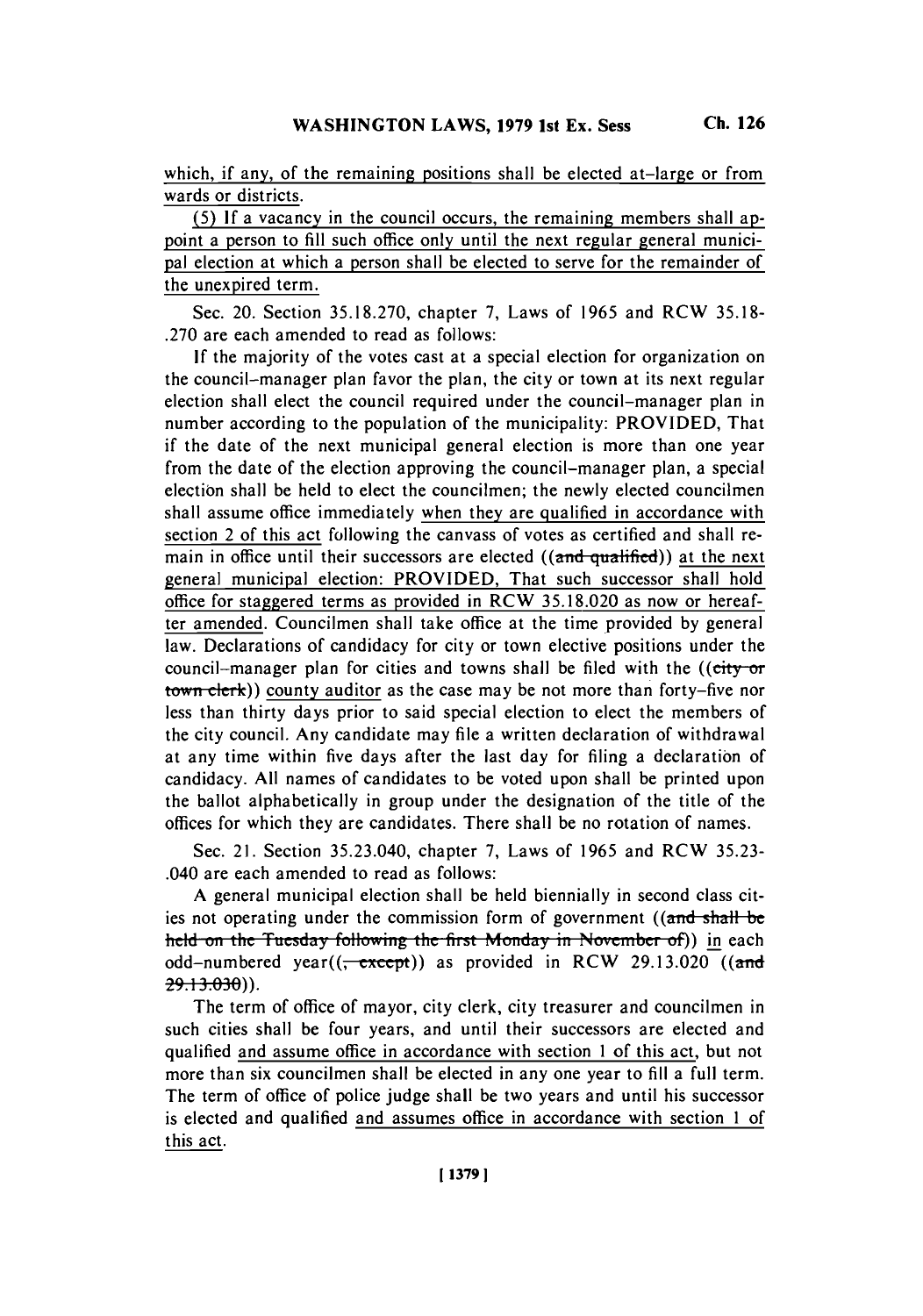which, if any, of the remaining positions shall be elected at-large or from wards or districts.

**(5) If** a vacancy in the council occurs, the remaining members shall appoint a person to **fill** such office only until the next regular general municipal election at which a person shall be elected to serve for the remainder of the unexpired term.

Sec. 20. Section **35.18.270,** chapter **7,** Laws of **1965** and RCW **35.18- .270** are each amended to read as follows:

**If** the majority of the votes cast at a special election for organization on the council-manager plan favor the plan, the city or town at its next regular election shall elect the council required under the council-manager plan in number according to the population of the municipality: PROVIDED, That if the date of the next municipal general election is more than one year from the date of the election approving the council-manager plan, a special election shall be held to elect the councilmen; the newly elected councilmen shall assume office immediately when they are qualified in accordance with section 2 of this act following the canvass of votes as certified and shall remain in office until their successors are elected  $((\text{and } \text{qualified}))$  at the next general municipal election: PROVIDED, That such successor shall hold office for staggered terms as provided in RCW **35.18.020** as now or hereafter amended. Councilmen shall take office at the time provided **by** general law. Declarations of candidacy for city or town elective positions under the council-manager plan for cities and towns shall be filed with the (( $\text{city-or}$ ) town clerk)) county auditor as the case may be not more than forty-five nor less than thirty days prior to said special election to elect the members of the city council. Any candidate may file a written declaration of withdrawal at any time within five days after the last day for filing a declaration of candidacy. **All** names of candidates to be voted upon shall be printed upon the ballot alphabetically in group under the designation of the title of the offices for which they are candidates. There shall be no rotation of names.

Sec. 21. Section 35.23.040, chapter **7,** Laws of **1965** and RCW **35.23-** .040 are each amended to read as follows:

**A** general municipal election shall be held biennially in second class cities not operating under the commission form of government  $((and shall be$ held on the Tuesday following the first Monday in November of)) in each odd-numbered year((<del>, except</del>)) as provided in RCW 29.13.020 ((and **29.13.030)**).

The term of office of mayor, city clerk, city treasurer and councilmen in such cities shall be four years, and until their successors are elected and qualified and assume office in accordance with section 1 of this act, but not more than six councilmen shall be elected in any one year to **fill** a full term. The term of office of police judge shall be two years and until his successor is elected and qualified and assumes office in accordance with section 1 of this act.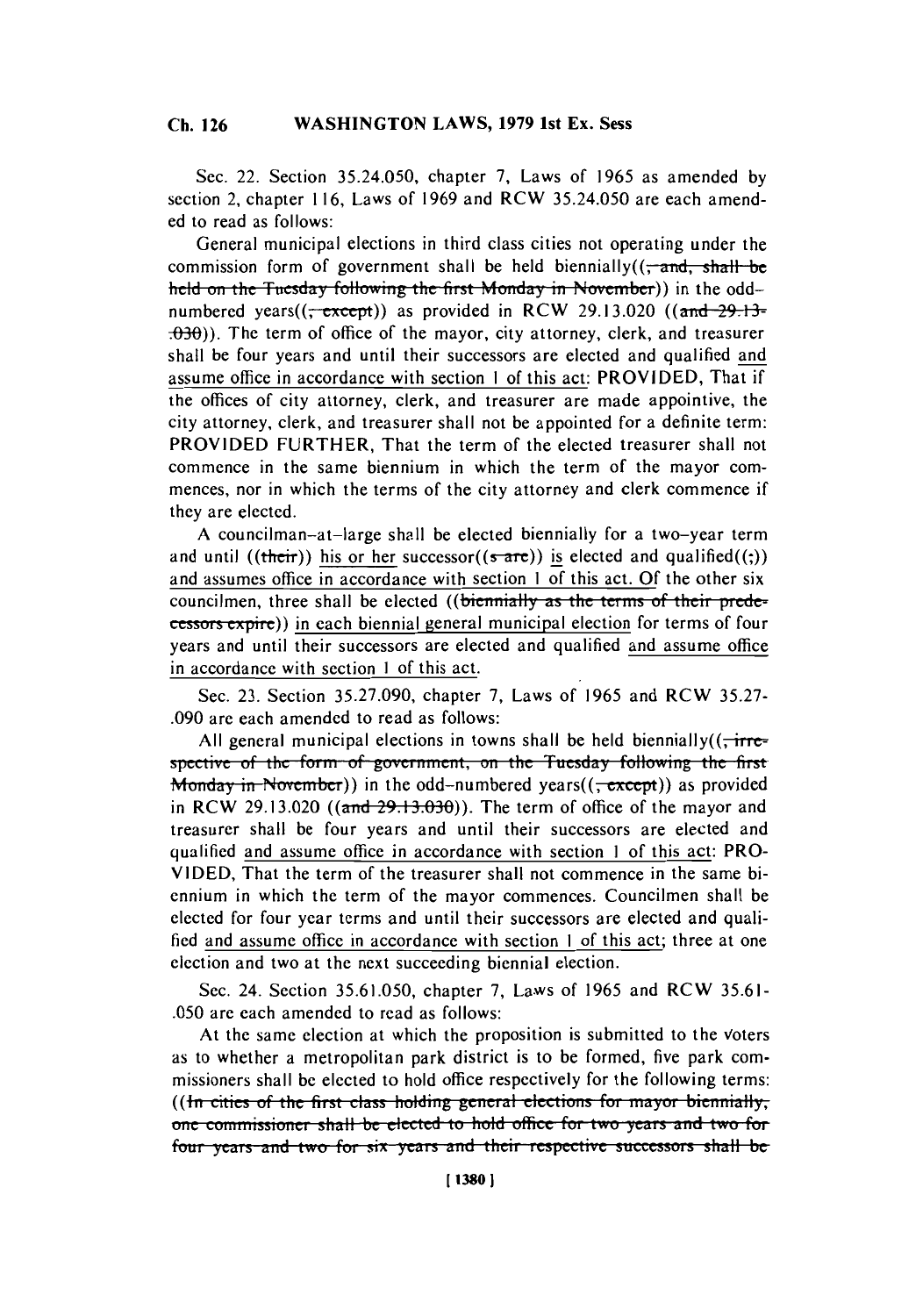Sec. 22. Section **35.24.050,** chapter **7,** Laws of **1965** as amended **by** section 2, chapter **116,** Laws of **1969** and RCW **35.24.050** are each amended to read as follows:

General municipal elections in third class cities not operating under the commission form of government shall be held biennially( $\left(\frac{\cdot}{\cdot}$  and  $\frac{\cdot}{\cdot}$  shall be held on the Tuesday following the first Monday in November)) in the oddnumbered years $((\text{--except}))$  as provided in RCW 29.13.020  $((\text{and-29.13-}$ **-030)).** The term of office of the mayor, city attorney, clerk, and treasurer shall be four years and until their successors are elected and qualified and assume office in accordance with section **I** of this act: PROVIDED, That if the offices of city attorney, clerk, and treasurer are made appointive, the city attorney, clerk, and treasurer shall not be appointed for a definite term: PROVIDED FURTHER, That the term of the elected treasurer shall not commence in the same biennium in which the term of the mayor commences, nor in which the terms of the city attorney and clerk commence if they are elected.

**A** councilman-at-large shall be elected biennially for a two-year term and until ((their)) his or her successor((sare)) is elected and qualified((;)) and assumes office in accordance with section **I** of this act. **Of** the other six councilmen, three shall be elected ((biennially as the terms of their predecessors expire)) in each biennial general municipal election for terms of four years and until their successors are elected and qualified and assume office in accordance with section **I** of this act.

Sec. **23.** Section **35.27.090,** chapter **7,** Laws of **1965** and **RCW 35.27- .090** are each amended to read as follows:

All general municipal elections in towns shall be held biennially( $\frac{1}{\sqrt{1 + \frac{1}{\sqrt{1 + \frac{1}{\sqrt{1 + \frac{1}{\sqrt{1 + \frac{1}{\sqrt{1 + \frac{1}{\sqrt{1 + \frac{1}{\sqrt{1 + \frac{1}{\sqrt{1 + \frac{1}{\sqrt{1 + \frac{1}{\sqrt{1 + \frac{1}{\sqrt{1 + \frac{1}{\sqrt{1 + \frac{1}{\sqrt{1 + \frac{1}{\sqrt{1 + \frac{1}{\sqrt{1 + \frac{1$ spective of the form of government, on the Tuesday following the first **Monday in November))** in the odd-numbered years( $(\frac{\text{except}}{\text{except}})$ ) as provided in RCW 29.13.020 (( $\alpha$ nd  $29.13.030$ ). The term of office of the mayor and treasurer shall be four years and until their successors are elected and qualified and assume office in accordance with section **I** of this act: PRO-**VIDED,** That the term of the treasurer shall not commence in the same biennium in which the term of the mayor commences. Councilmen shall be elected for four year terms and until their successors are elected and qualified and assume office in accordance with section **I** of this act; three at one election and two at the next succeeding biennial election.

Sec. 24. Section **35.61.050,** chapter **7,** Laws of **1965** and **RCW 35.61- .050** are each amended to read as follows:

At the same election at which the proposition is submitted to the Voters as to whether a metropolitan park district is to be formed, five park commissioners shall be elected to hold office respectively for the following terms: ((In cities of the first class holding general elections for mayor biennially, one commissioner shall be elected to hold office for two years and two for four years and two for six years and their respective successors shall be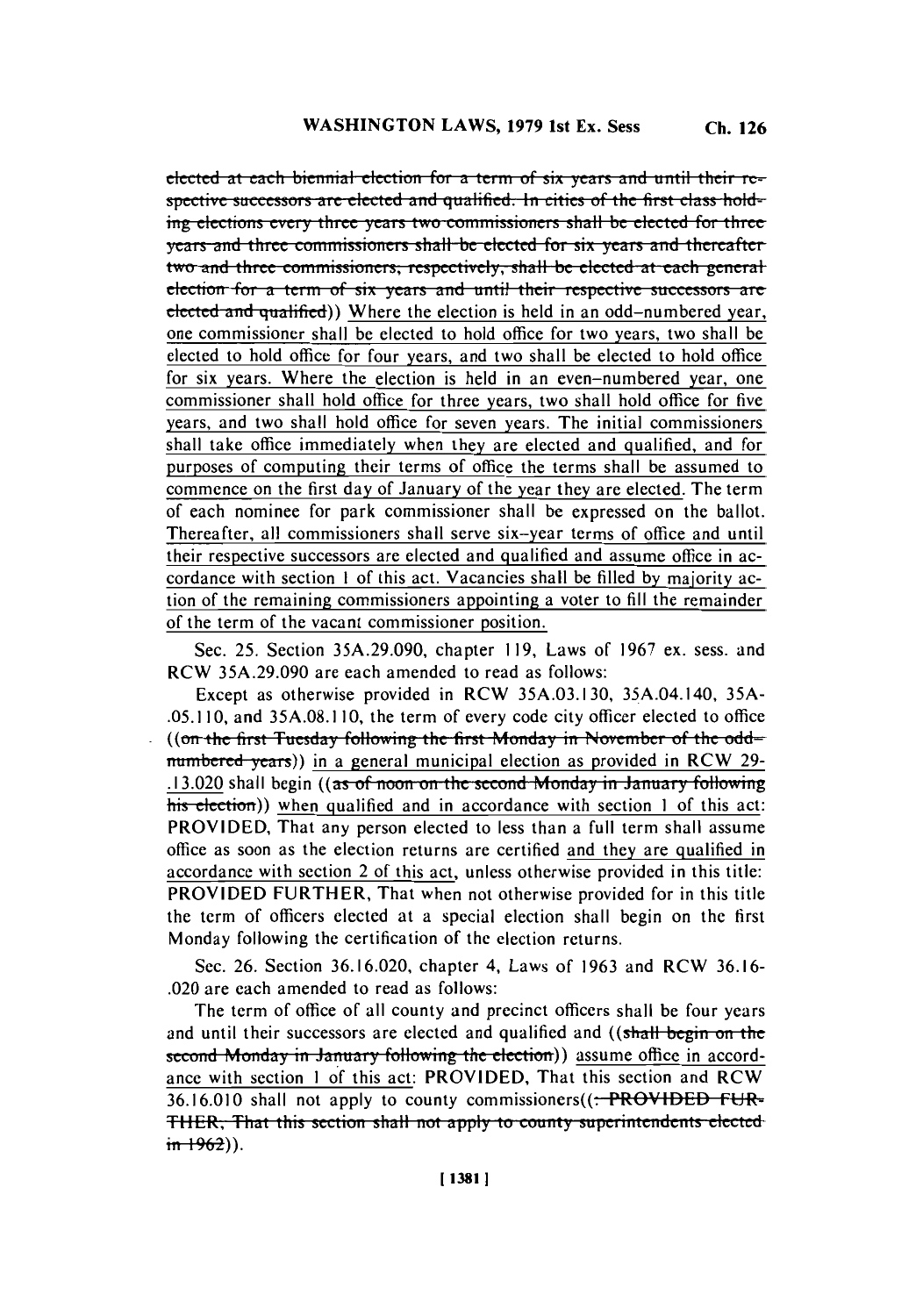**elected at each biennial election for a term of six years and until their respective successors are elected and qualified. In cities of the first class hold-** $\frac{1}{2}$  **ing** elections every three years two commissioners shall be elected for three **years and three commissioners shall be elected for six years and thereafter** two and three commissioners, respectively, shall be elected at each general **election for a term of six years and until their respective successors are**  $e^{\frac{1}{2}}$  elected and qualified)) Where the election is held in an odd-numbered year, one commissioner shall **be** elected to hold office for two years, two shall be elected to hold office for four years, and two shall be elected to hold office for six years. Where the election is held in an even-numbered year, one commissioner shall hold office for three years, two shall hold office for five years, and two shall hold office for seven years. The initial commissioners shall take office immediately when they are elected and qualified, and for purposes of computing their terms of office the terms shall be assumed to commence on the first day of January of the year they are elected. The term of each nominee for park commissioner shall be expressed on the ballot. Thereafter, all commissioners shall serve six-year terms of office and until their respective successors are elected and qualified and assume office in accordance with section **I** of this act. Vacancies shall be filled **by** majority action of the remaining commissioners appointing a voter to **fill** the remainder of the term of the vacant commissioner position.

Sec. **25.** Section **35A.29.090,** chapter **119,** Laws of **1967** ex. sess. and RCW **35A.29.090** are each amended to read as follows:

Except as otherwise provided in RCW **35A.03.130,** 35A.04.140, **35A- .05.110,** and **35A.08.1 10,** the term of every code city officer elected to office ((on the first Tuesday following the first Monday in November of the oddnumbered years)) in a general municipal election as provided in RCW 29-**13.020** shall begin ((as of noon on the second Monday in January following his election)) when qualified and in accordance with section 1 of this act: PROVIDED, That any person elected to less than a full term shall assume office as soon as the election returns are certified and they are qualified in accordance with section 2 of this act, unless otherwise provided in this title: PROVIDED FURTHER, That when not otherwise provided for in this title the term of officers elected at a special election shall begin on the first Monday following the certification of the election returns.

Sec. **26.** Section **36.16.020,** chapter 4, Laws of **1963** and RCW **36.16-** .020 are each amended to read as follows:

The term of office of all county and precinct officers shall be four years and until their successors are elected and qualified and ((shall begin on the **second Monday in January following the election)) assume office in accord**ance with section **I** of this act: PROVIDED, That this section and RCW **36.16.010** shall not apply to county commissioners((. PROVIDED **FUR-**THER, That this section shall not apply to county superintendents elected  $\frac{1962}{2}$ .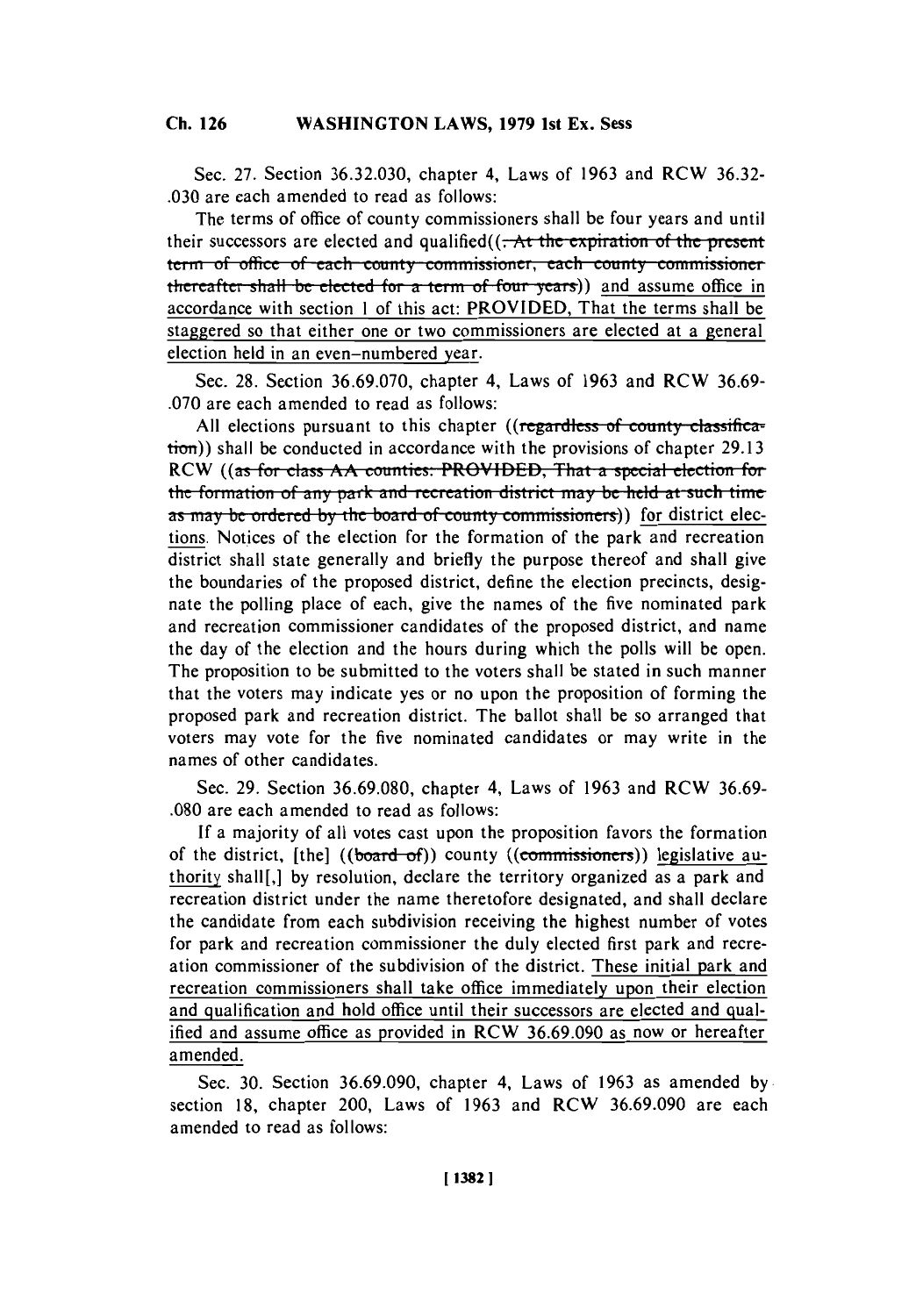Sec. **27.** Section **36.32.030,** chapter 4, Laws of **1963** and RCW **36.32- .030** are each amended to read as follows:

The terms of office of county commissioners shall be four years and until their successors are elected and qualified((<del>. At the expiration of the present</del> **term of office of each county commissioner, each county commissioner thereafter shall be elected for a term of four years)) and assume office in** accordance with section **I** of this act: PROVIDED, That the terms shall be staggered so that either one or two commissioners are elected at a general election held in an even-numbered year.

Sec. **28.** Section **36.69.070,** chapter **4,** Laws of **1963** and RCW **36.69- .070** are each amended to read as follows:

All elections pursuant to this chapter ((regardless of county classification)) shall be conducted in accordance with the provisions of chapter 29.13 RCW *((as for class AA counties: PROVIDED, That a special election for* the formation of any park and recreation district may be held at such time **as may be ordered by the board of county commissioners)** for district elections. Notices of the election for the formation of the park and recreation district shall state generally and briefly the purpose thereof and shall give the boundaries of the proposed district, define the election precincts, designate the polling place of each, give the names of the five nominated park and recreation commissioner candidates of the proposed district, and name the day of the election and the hours during which the polls will be open. The proposition to be submitted to the voters shall be stated in such manner that the voters may indicate yes or no upon the proposition of forming the proposed park and recreation district. The ballot shall be so arranged that voters may vote for the five nominated candidates or may write in the names of other candidates.

Sec. **29.** Section **36.69.080,** chapter **4,** Laws of **1963** and **RCW 36.69- .080** are each amended to read as follows:

**If** a majority of all votes cast upon the proposition favors the formation of the district, [the] ((board of)) county ((commissioners)) legislative authority shall<sup>[1]</sup>, by resolution, declare the territory organized as a park and recreation district under the name theretofore designated, and shall declare the candidate from each subdivision receiving the highest number of votes for park and recreation commissioner the duly elected first park and recreation commissioner of the subdivision of the district. These initial park and recreation commissioners shall take office immediately upon their election and qualification and hold office until their successors are elected and qualified and assume office as provided in **RCW 36.69.090** as now or hereafter amended.

Sec. **30.** Section **36.69.090,** chapter **4,** Laws of **1963** as amended **by** section **18,** chapter 200, Laws of **1963** and **RCW 36.69.090** are each amended to read as follows: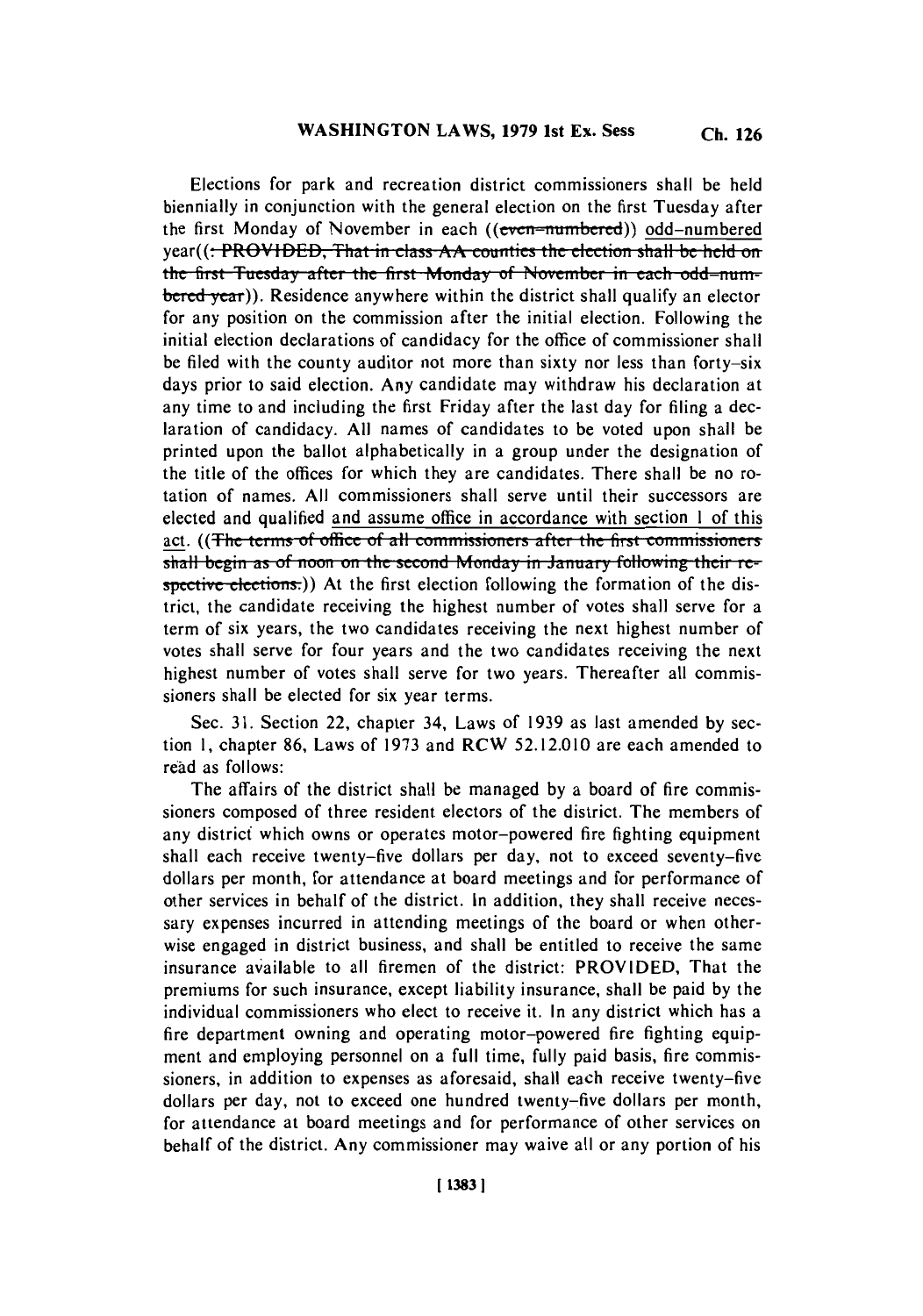Elections for park and recreation district commissioners shall be held biennially in conjunction with the general election on the first Tuesday after the first Monday of November in each ((even-numbered)) odd-numbered year((<del>: PROVIDED, That in class AA counties the election shall be held on the first Tuesday after the first Monday of November in each odd-num-</del> **bered year)).** Residence anywhere within the district shall qualify an elector for any position on the commission after the initial election. Following the initial election declarations of candidacy for the office of commissioner shall be filed with the county auditor not more than sixty nor less than forty-six days prior to said election. Any candidate may withdraw his declaration at any time to and including the first Friday after the last day for filing a declaration of candidacy. **All** names of candidates to be voted upon shall be printed upon the ballot alphabetically in a group under the designation of the title of the offices for which they are candidates. There shall be no rotation of names. **All** commissioners shall serve until their successors are elected and qualified and assume office in accordance with section 1 of this act. ((The terms of office of all commissioners after the first commissioners) shall begin as of noon on the second Monday in January following their respective elections.)) At the first election following the formation of the district, the candidate receiving the highest number of votes shall serve for a term of six years, the two candidates receiving the next highest number of votes shall serve for four years and the two candidates receiving the next highest number of votes shall serve for two years. Thereafter all commissioners shall be elected for six year terms.

Sec. **31.** Section 22, chapter 34, Laws of **1939** as last amended **by** section **1,** chapter **86,** Laws of **1973** and RCW **52.12.010** are each amended to read as follows:

The affairs of the district shall be managed **by** a board of fire commissioners composed of three resident electors of the district. The members of any district which owns or operates motor-powered fire fighting equipment shall each receive twenty-five dollars per day, not to exceed seventy-five dollars per month, for attendance at board meetings and for performance of other services in behalf of the district. In addition, they shall receive necessary expenses incurred in attending meetings of the board or when otherwise engaged in district business, and shall be entitled to receive the same insurance available to all firemen of the district: PROVIDED, That the premiums for such insurance, except liability insurance, shall be paid **by** the individual commissioners who elect to receive it. In any district which has a fire department owning and operating motor-powered fire fighting equipment and employing personnel on a full time, fully paid basis, fire commissioners, in addition to expenses as aforesaid, shall each receive twenty-five dollars per day, not to exceed one hundred twenty-five dollars per month, for attendance at board meetings and for performance of other services on behalf of the district. Any commissioner may waive all or any portion of his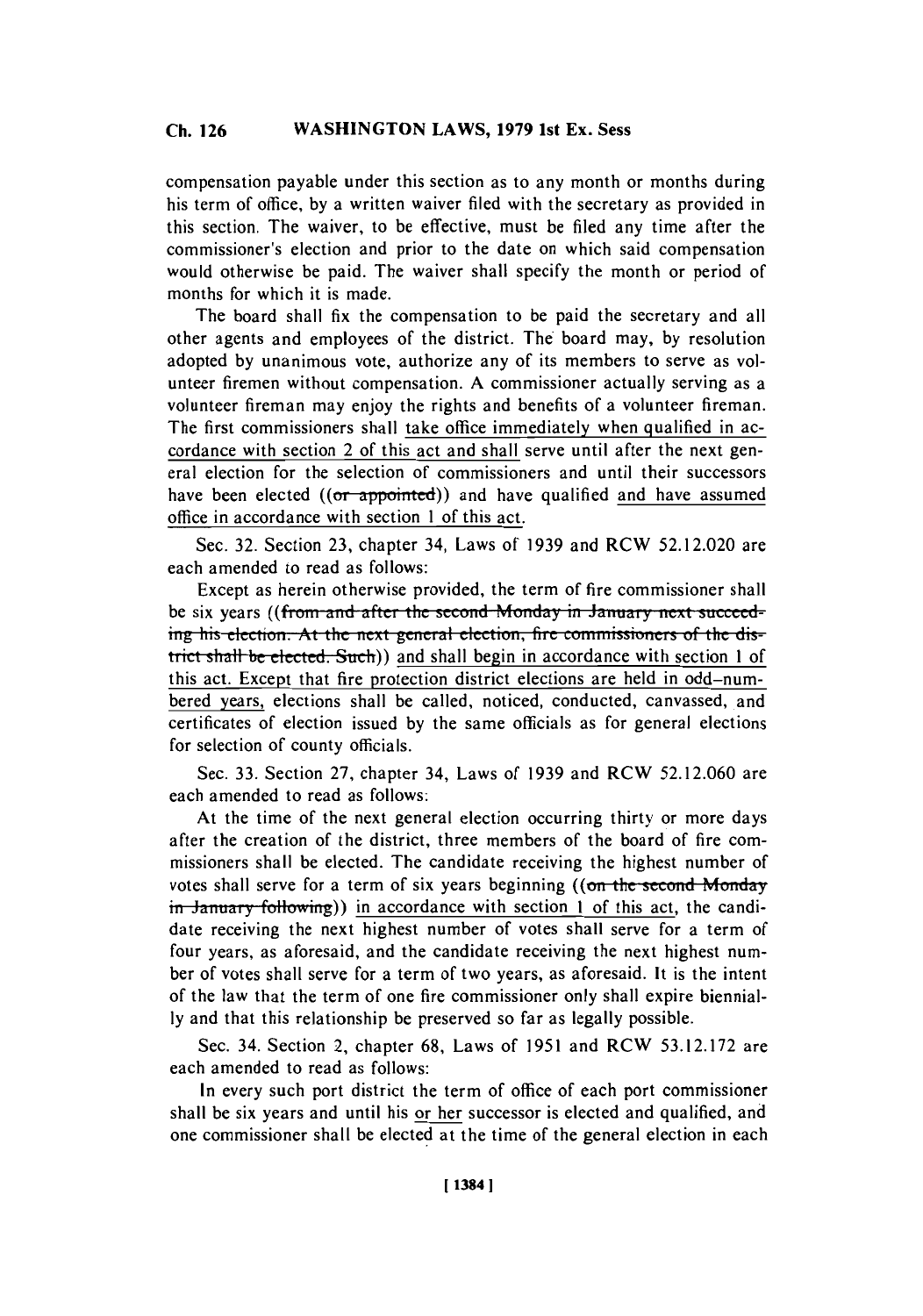compensation payable under this section as to any month or months during his term of office, **by** a written waiver filed with the secretary as provided in this section. The waiver, to be effective, must be filed any time after the commissioner's election and prior to the date on which said compensation would otherwise be paid. The waiver shall specify the month or period of months for which it is made.

The board shall fix the compensation to be paid the secretary and all other agents and employees of the district. The board may, **by** resolution adopted **by** unanimous vote, authorize any of its members to serve as volunteer firemen without compensation. **A** commissioner actually serving as a volunteer fireman may enjoy the rights and benefits of a volunteer fireman. The first commissioners shall take office immediately when qualified in accordance with section 2 of this act and shall serve until after the next general election for the selection of commissioners and until their successors have been elected  $((or *appointed*))$  and have qualified and have assumed office in accordance with section **I** of this act.

Sec. **32.** Section **23,** chapter 34, Laws of **1939** and RCW **52.12.020** are each amended to read as follows:

Except as herein otherwise provided, the term of fire commissioner shall be six years ((from and after the second Monday in January next succeeding his election. At the next general election, fire commissioners of the district shall be elected. Such)) and shall begin in accordance with section 1 of this act. Except that fire protection district elections are held in odd-numbered years, elections shall be called, noticed, conducted, canvassed, and certificates of election issued **by** the same officials as for general elections for selection of county officials.

Sec. **33.** Section **27,** chapter 34, Laws of **1939** and RCW **52.12.060** are each amended to read as follows:

At the time of the next general election occurring thirty or more days after the creation of the district, three members of the board of fire commissioners shall be elected. The candidate receiving the highest number of votes shall serve for a term of six years beginning ((on the second Monday **in January following**)) in accordance with section 1 of this act, the candidate receiving the next highest number of votes shall serve for a term of four years, as aforesaid, and the candidate receiving the next highest number of votes shall serve for a term of two years, as aforesaid. It is the intent of the law that the term of one fire commissioner only shall expire biennial**ly** and that this relationship be preserved so far as legally possible.

Sec. 34. Section 2, chapter **68,** Laws of **1951** and RCW **53.12.172** are each amended to read as follows:

In every such port district the term of office of each port commissioner shall be six years and until his or her successor is elected and qualified, and one commissioner shall be elected at the time of the general election in each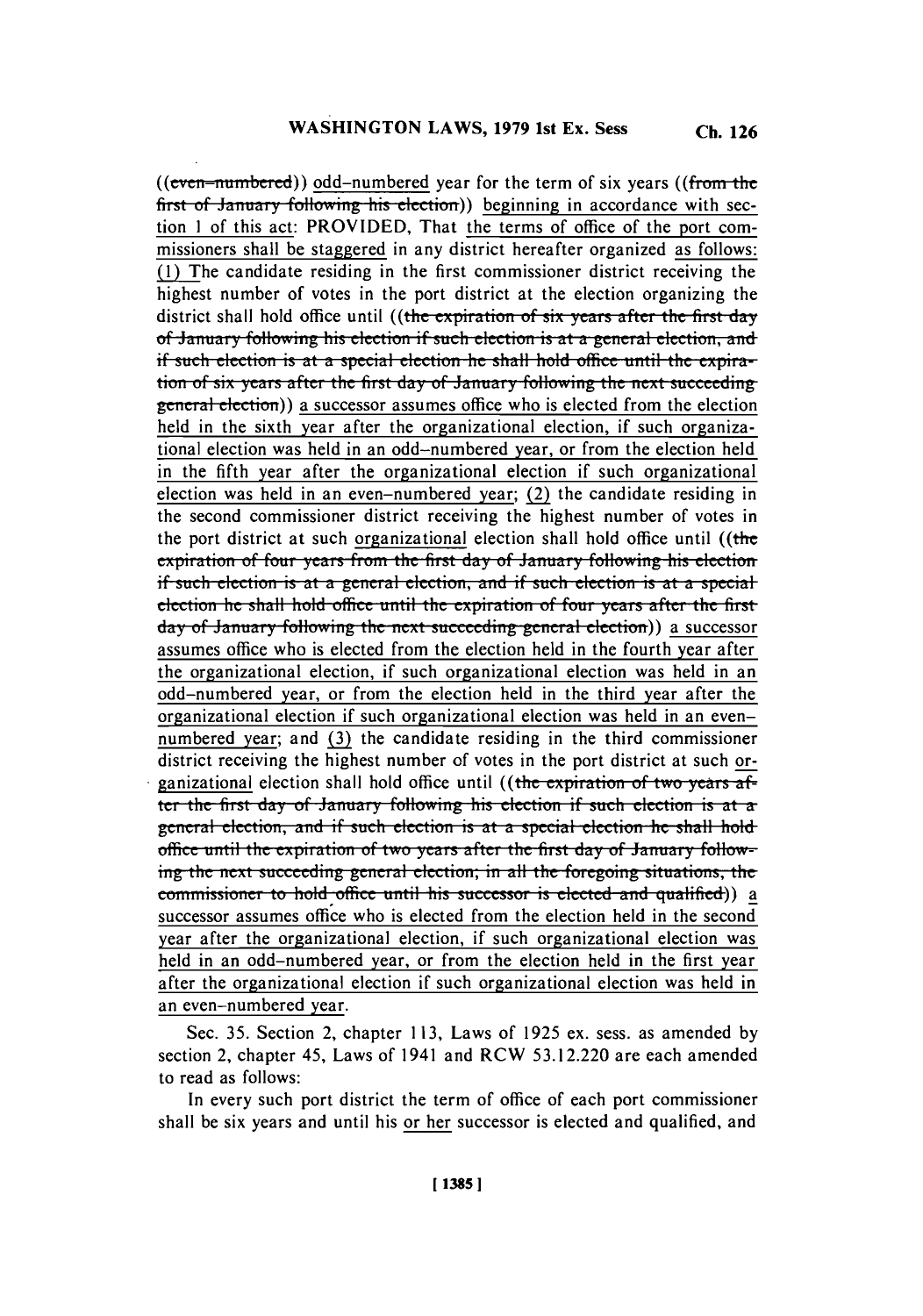(( $even-numbered$ )) odd-numbered year for the term of six years ((from the first of January following his election)) beginning in accordance with section **I** of this act: PROVIDED, That the terms of office of the port commissioners shall be staggered in any district hereafter organized as follows: **(1)** The candidate residing in the first commissioner district receiving the highest number of votes in the port district at the election organizing the district shall hold office until ((the expiration of six years after the first day of **January following his election if such election is at a general election, and** if such election is at a special election he shall hold office until the expira**tion of six years after the first day of January following the next succeeding** general election)) a successor assumes office who is elected from the election held in the sixth year after the organizational election, if such organizational election was held in an odd-numbered year, or from the election held in the fifth year after the organizational election if such organizational election was held in an even-numbered year; (2) the candidate residing in the second commissioner district receiving the highest number of votes in the port district at such organizational election shall hold office until (( $t$ he  $\frac{1}{2}$  **expiration of four years from the first day of January following his election** if such election is at a general election, and if such election is at a special **election he shall hold office until the expiration of four years after the first.** day of January following the next succeeding general election)) a successor assumes office who is elected from the election held in the fourth year after the organizational election, if such organizational election was held in an odd-numbered year, or from the election held in the third year after the organizational election if such organizational election was held in an evennumbered year; and **(3)** the candidate residing in the third commissioner district receiving the highest number of votes in the port district at such organizational election shall hold office until ((the expiration of two years after the first day of January following his election if such election is at a general election, and if such election is at a special election he shall hold office until the expiration of two years after the first day of January following the next succeeding general election; in all the foregoing situations, the **commissioner to hold office until his successor is elected and qualified)**) a successor assumes office who is elected from the election held in the second year after the organizational election, if such organizational election was held in an odd-numbered year, or from the election held in the first year after the organizational election if such organizational election was held in an even-numbered year.

Sec. **35.** Section 2, chapter **113,** Laws of **1925** ex. sess. as amended **by** section 2, chapter 45, Laws of 1941 and **RCW 53.12.220** are each amended to read as follows:

In every such port district the term of office of each port commissioner shall be six years and until his or her successor is elected and qualified, and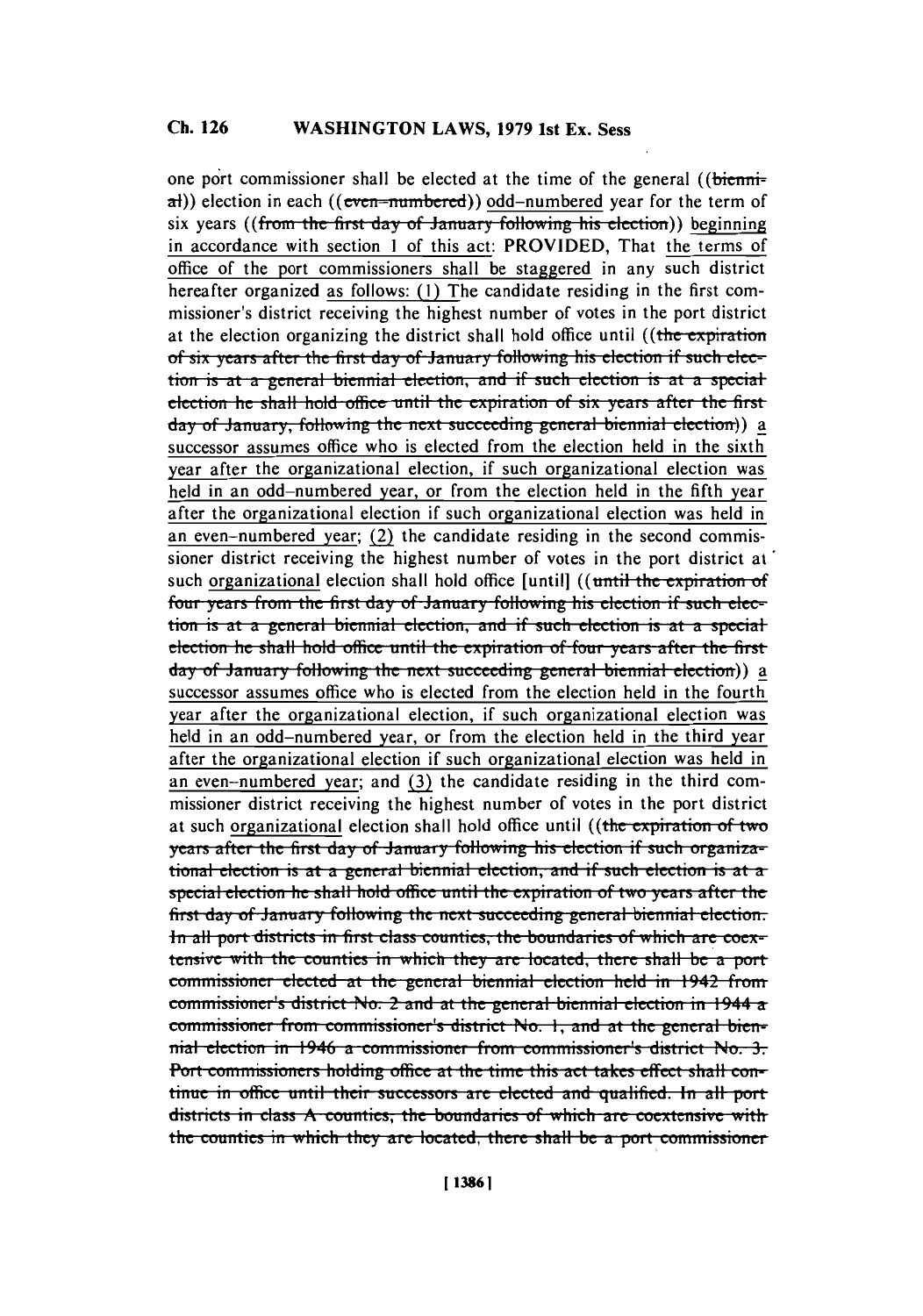# **Ch. 126 WASHINGTON** LAWS, **1979** 1st Ex. Sess

one port commissioner shall be elected at the time of the general ((bienni- $\sigma$ )) election in each ((even-numbered)) odd-numbered year for the term of six years ((from the first day of January following his election)) beginning in accordance with section **I** of this act: PROVIDED, That the terms of office of the port commissioners shall be staggered in any such district hereafter organized as follows: **(1)** The candidate residing in the first commissioner's district receiving the highest number of votes in the port district at the election organizing the district shall hold office until ((the expiration of six years after the first day of January following his election if such election is at a general biennial election, and if such election is at a special election he shall hold office until the expiration of six years after the first day of **January**, following the next succeeding general biennial election)) a successor assumes office who is elected from the election held in the sixth year after the organizational election, if such organizational election was held in an odd-numbered year, or from the election held in the fifth year after the organizational election if such organizational election was held in an even-numbered year;  $(2)$  the candidate residing in the second commissioner district receiving the highest number of votes in the port district at such organizational election shall hold office [until] ((until the expiration of four years from the first day of January following his election if such election is at a general biennial election, and if such election is at a special *differe the shall hold office until the expiration of four years after the first* day of January following the next succeeding general biennial election)) a successor assumes office who is elected from the election held in the fourth year after the organizational election, if such organizational election was held in an odd-numbered year, or from the election held in the third year after the organizational election if such organizational election was held in an even-numbered year; and **(3)** the candidate residing in the third commissioner district receiving the highest number of votes in the port district at such organizational election shall hold office until ((the expiration of two *years after the first day of January following his election if such organiza*tional election is at a general biennial election, and if such election is at a special election he shall hold office until the expiration of two years after the first day of January following the next succeeding general biennial election. In all port districts in first class counties, the boundaries of which are coex**tensive with the counties in which they are located, there shall be a port** commissioner elected at the general biennial election held in 1942 from sommissioner's district No. 2 and at the general biennial election in 1944 a **commissioner from commissioner's district No. 1, and at the general bien**hial election in 1946 a commissioner from commissioner's district No. 3. Port commissioners holding office at the time this act takes effect shall confintuc in officc. until their successoi *are* elete **and** qualified. **In** all pot districts in class A counties, the boundaries of which are coextensive with the counties in which they are located, there shall be a port commissioner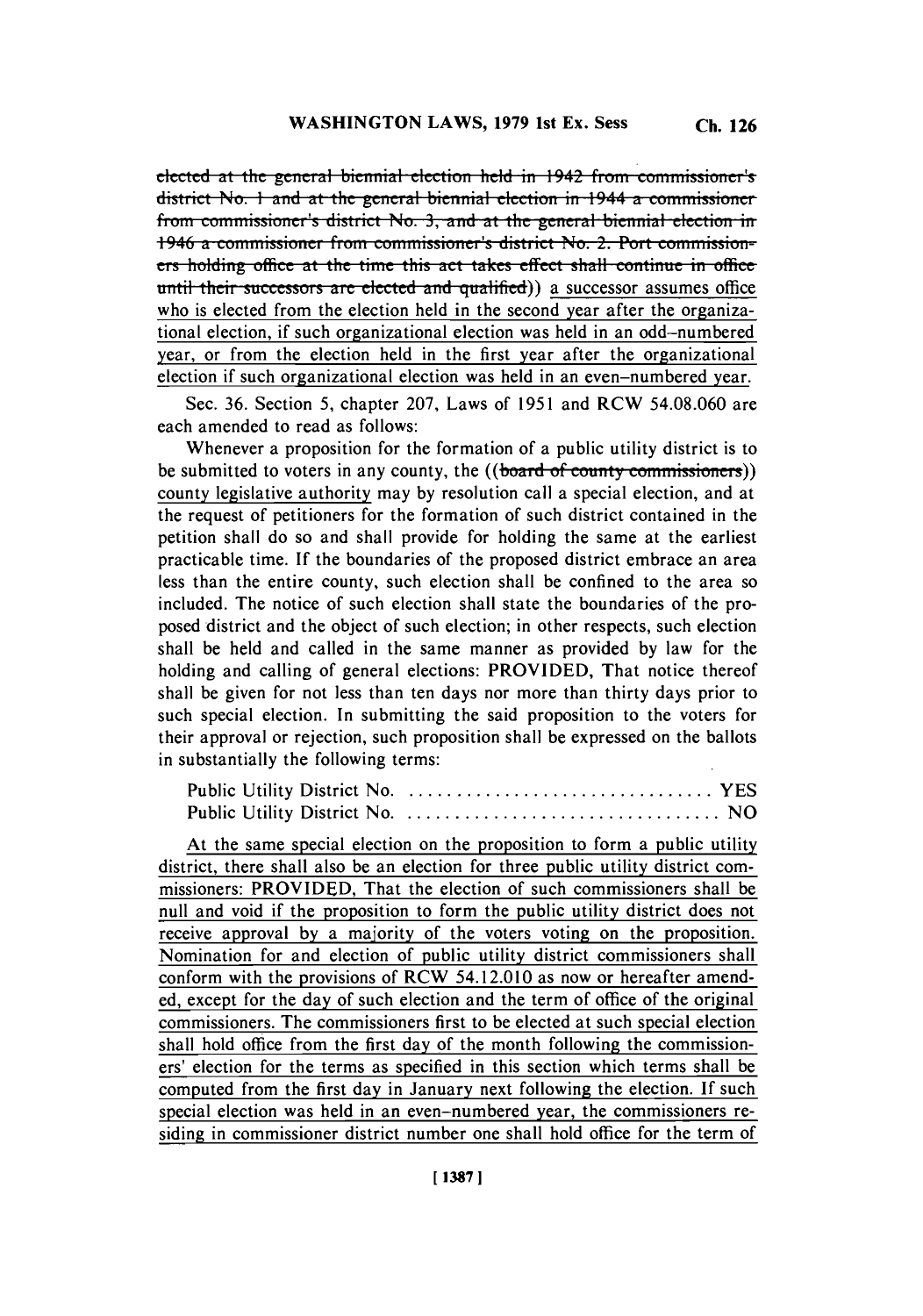effected at the general biennial election held in 1942 from commissioner's **district No. 1 and at the general biennial election in 1944 a commissioner from commissioner's district No. 3, and at the general biennial election in** 1946 a commissioner from commissioner's district No. 2. Port commissioners holding office at the time this act takes effect shall continue in office until their successors are elected and qualified)) a successor assumes office who is elected from the election held in the second year after the organizational election, *if* such organizational election was held in an odd-numbered year, or from the election held in the first year after the organizational election if such organizational election was held in an even-numbered year.

Sec. **36.** Section **5,** chapter **207,** Laws of **1951** and RCW *54.08.060* are each amended to read as follows:

Whenever a proposition for the formation of a public utility district is to be submitted to voters in any county, the ((board of county commissioners)) county legislative authority may **by** resolution call a special election, and at the request of petitioners for the formation of such district contained in the petition shall do so and shall provide for holding the same at the earliest practicable time. **If** the boundaries of the proposed district embrace an area less than the entire county, such election shall be confined to the area so included. The notice of such election shall state the boundaries of the proposed district and the object of such election; in other respects, such election shall be held and called in the same manner as provided **by** law for the holding and calling of general elections: PROVIDED, That notice thereof shall be given for not less than ten days nor more than thirty days prior to such special election. In submitting the said proposition to the voters for their approval or rejection, such proposition shall be expressed on the ballots in substantially the following terms:

At the same special election on the proposition to form a public utility district, there shall also be an election for three public utility district commissioners: PROVIDED, That the election of such commissioners shall be null and void if the proposition to form the public utility district does not receive approval **by** a majority of the voters voting on the proposition. Nomination for and election of public utility district commissioners shall conform with the provisions of **RCW** 54.12.010 as now or hereafter amended, except for the day of such election and the term of office of the original commissioners. The commissioners first to be elected at such special election shall hold office from the first day of the month following the commissioners' election for the terms as specified in this section which terms shall be computed from the first day in January next following the election. **If** such special election was held in an even-numbered year, the commissioners residing in commissioner district number one shall hold office for the term of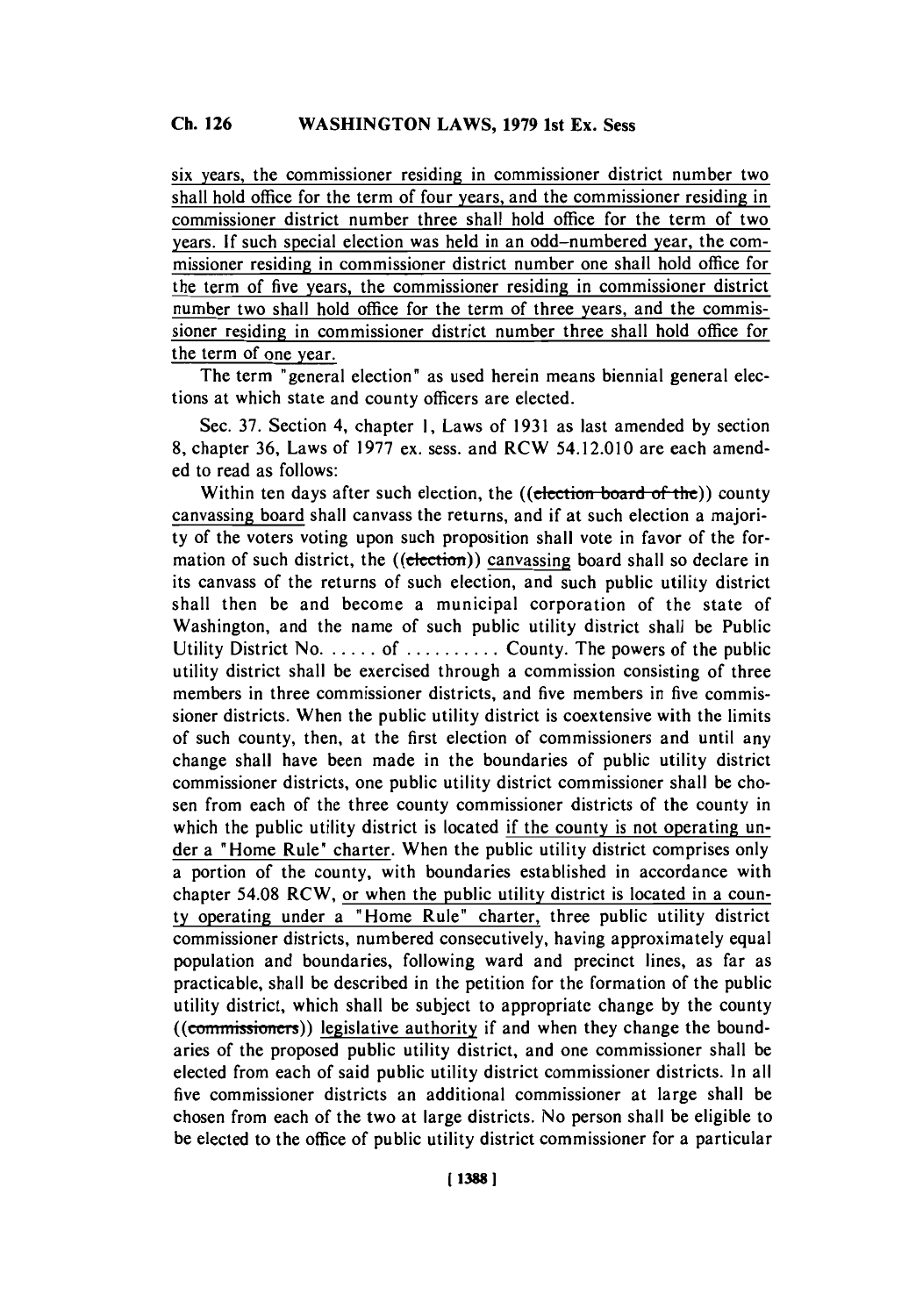six years, the commissioner residing in commissioner district number two shall hold office for the term of four years, and the commissioner residing in commissioner district number three shall hold office for the term of two years. **If** such special election was held in an odd-numbered year, the commissioner residing in commissioner district number one shall hold office for the term of five years, the commissioner residing in commissioner district number two shall hold office for the term of three years, and the commissioner residing in commissioner district number three shall hold office for the term of one year.

The term "general election" as used herein means biennial general elections at which state and county officers are elected.

Sec. **37.** Section 4, chapter **1,** Laws of **1931** as last amended **by** section **8,** chapter **36,** Laws of **1977** ex. sess. and RCW 54.12.010 are each amended to read as follows:

Within ten days after such election, the ((election board of the)) county canvassing board shall canvass the returns, and if at such election a majority of the voters voting upon such proposition shall vote in favor of the formation of such district, the  $((e<sub>lection</sub>))$  canvassing board shall so declare in its canvass of the returns of such election, and such public utility district shall then be and become a municipal corporation of the state of Washington, and the name of such public utility district shall be Public Utility District No. . . . . . . of . . . . . . . . . . County. The powers of the public utility district shall be exercised through a commission consisting of three members in three commissioner districts, and five members in five commissioner districts. When the public utility district is coextensive with the limits of such county, then, at the first election of commissioners and until any change shall have been made in the boundaries of public utility district commissioner districts, one public utility district commissioner shall be chosen from each of the three county commissioner districts of the county in which the public utility district is located if the county is not operating under a "Home Rule" charter. When the public utility district comprises only a portion of the county, with boundaries established in accordance with chapter 54.08 RCW, or when the public utility district is located in a county operating under a "Home Rule" charter, three public utility district commissioner districts, numbered consecutively, having approximately equal population and boundaries, following ward and precinct lines, as far as practicable, shall be described in the petition for the formation of the public utility district, which shall be subject to appropriate change **by** the county  $((commissioners))$  legislative authority if and when they change the boundaries of the proposed public utility district, and one commissioner shall be elected from each of said public utility district commissioner districts. In all five commissioner districts an additional commissioner at large shall be chosen from each of the two at large districts. No person shall be eligible to be elected to the office of public utility district commissioner for a particular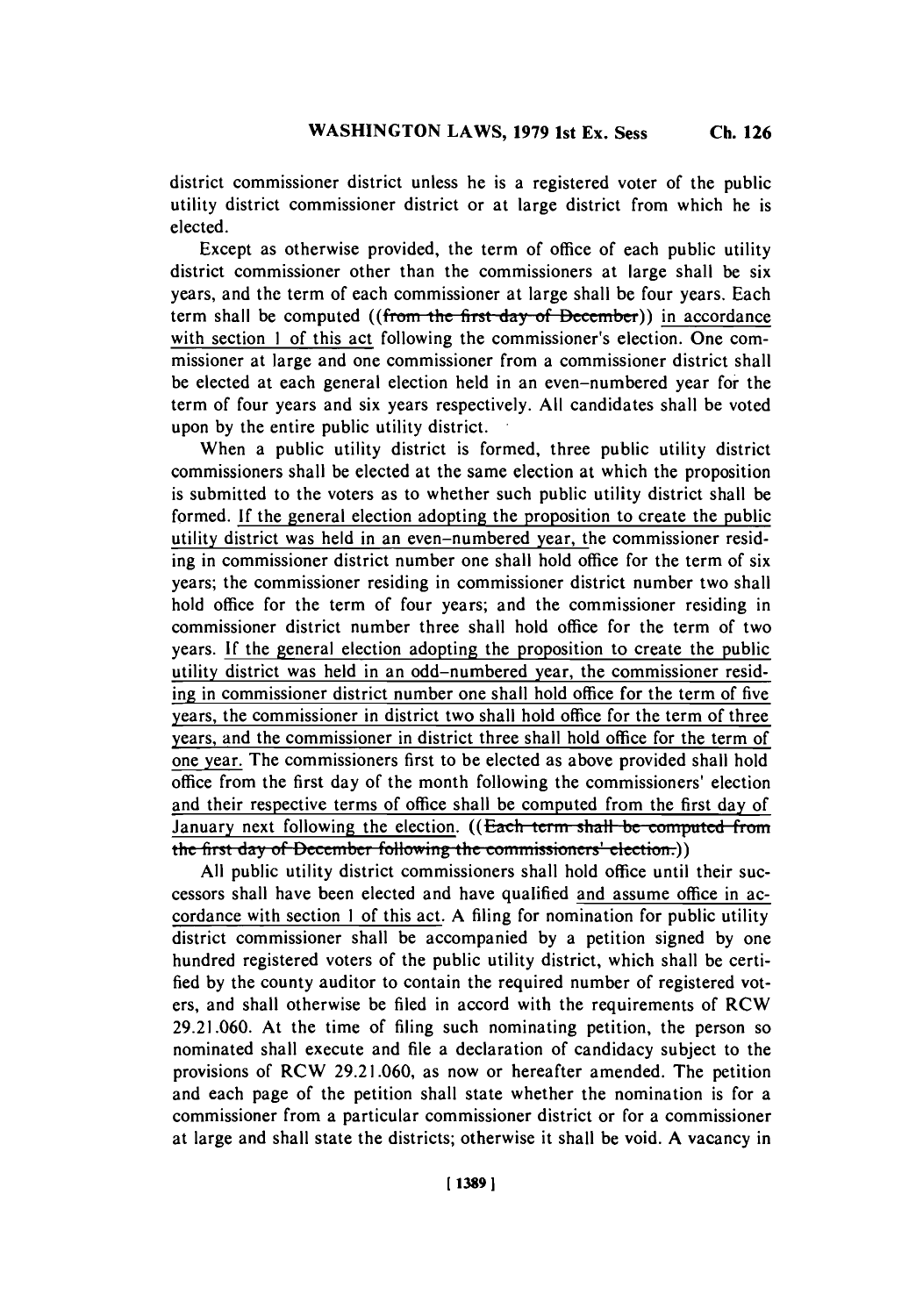district commissioner district unless he is a registered voter of the public utility district commissioner district or at large district from which he is elected.

Except as otherwise provided, the term of office of each public utility district commissioner other than the commissioners at large shall be six years, and the term of each commissioner at large shall be four years. Each term shall be computed ((from the first day of December)) in accordance with section 1 of this act following the commissioner's election. One commissioner at large and one commissioner from a commissioner district shall be elected at each general election held in an even-numbered year for the term of four years and six years respectively. **All** candidates shall be voted upon **by** the entire public utility district.

When a public utility district is formed, three public utility district commissioners shall be elected at the same election at which the proposition is submitted to the voters as to whether such public utility district shall be formed. **If** the general election adopting the proposition to create the public utility district was held in an even-numbered year, the commissioner residing in commissioner district number one shall hold office for the term of six years; the commissioner residing in commissioner district number two shall hold office for the term of four years; and the commissioner residing in commissioner district number three shall hold office for the term of two years. **If** the general election adopting the proposition to create the public utility district was held in an odd-numbered year, the commissioner residing in commissioner district number one shall hold office for the term of five years, the commissioner in district two shall hold office for the term of three years, and the commissioner in district three shall hold office for the term of one year. The commissioners first to be elected as above provided shall hold office from the first day of the month following the commissioners' election and their respective terms of office shall be computed from the first day of January next following the election. **((Each term shall be computed from** the first day of December following the commissioners' election.))

**All** public utility district commissioners shall hold office until their successors shall have been elected and have qualified and assume office **in** accordance with section **I** of this act. **A** filing for nomination for public utility district commissioner shall be accompanied **by** a petition signed **by** one hundred registered voters of the public utility district, which shall be certified **by** the county auditor to contain the required number of registered voters, and shall otherwise be filed in accord with the requirements of RCW **29.21.060.** At the time of filing such nominating petition, the person so nominated shall execute and file a declaration of candidacy subject to the provisions of RCW **29.21.060,** as now or hereafter amended. The petition and each page of the petition shall state whether the nomination is for a commissioner from a particular commissioner district or for a commissioner at large and shall state the districts; otherwise it shall be void. **A** vacancy in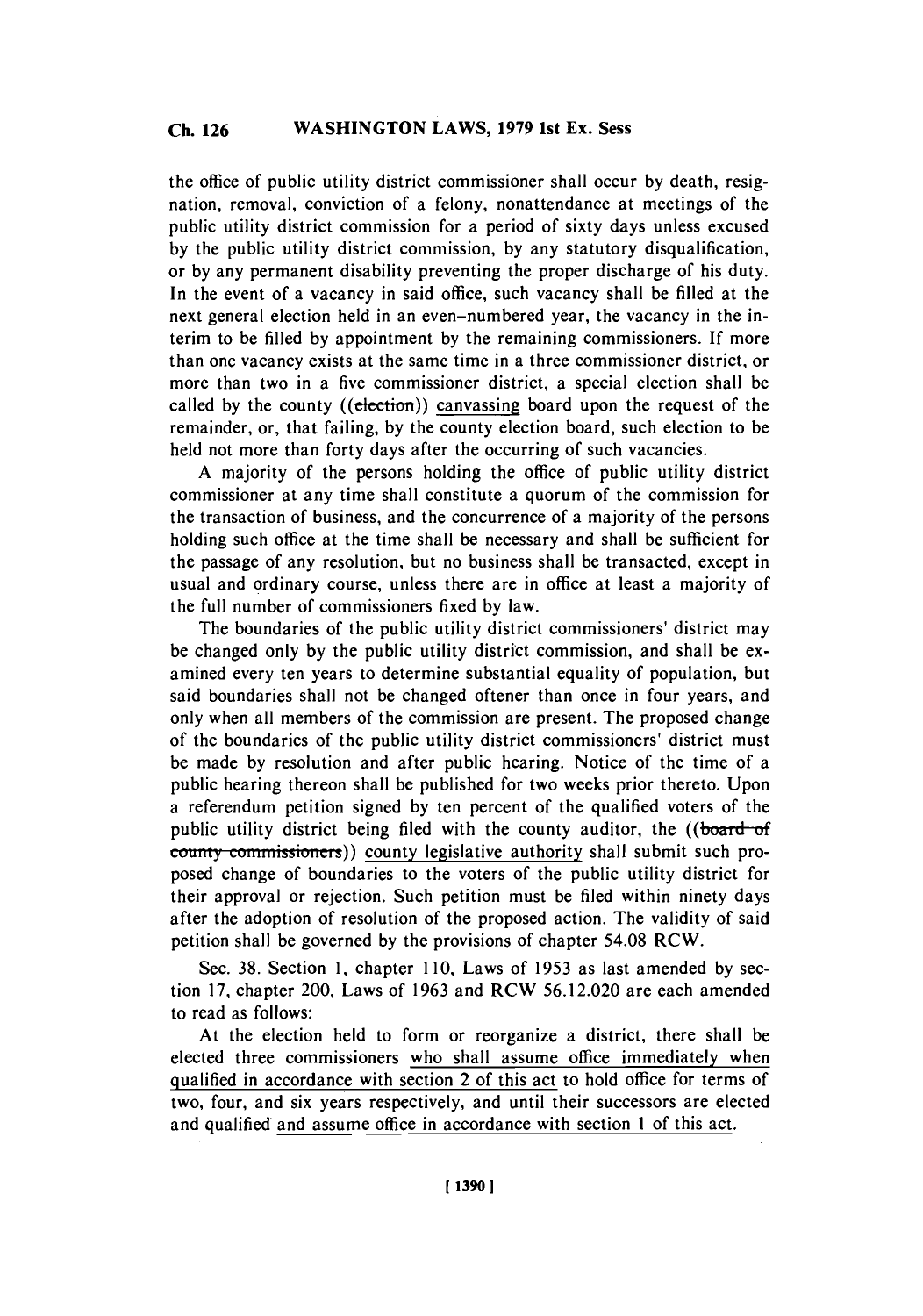the office of public utility district commissioner shall occur **by** death, resignation, removal, conviction of a felony, nonattendance at meetings of the public utility district commission for a period of sixty days unless excused **by** the public utility district commission, **by** any statutory disqualification, or **by** any permanent disability preventing the proper discharge of his duty. In the event of a vacancy in said office, such vacancy shall be filled at the next general election held in an even-numbered year, the vacancy in the interim to be **filled by** appointment **by** the remaining commissioners. **If** more than one vacancy exists at the same time in a three commissioner district, or more than two in a five commissioner district, a special election shall be called by the county ((election)) canvassing board upon the request of the remainder, or, that failing, **by** the county election board, such election to be held not more than forty days after the occurring of such vacancies.

**A** majority of the persons holding the office of public utility district commissioner at any time shall constitute a quorum of the commission for the transaction of business, and the concurrence of a majority of the persons holding such office at the time shall be necessary and shall be sufficient for the passage of any resolution, but no business shall be transacted, except in usual and ordinary course, unless there are in office at least a majority of the full number of commissioners fixed **by** law.

The boundaries of the public utility district commissioners' district may be changed only **by** the public utility district commission, and shall be examined every ten years to determine substantial equality of population, but said boundaries shall not be changed oftener than once in four years, and only when all members of the commission are present. The proposed change of the boundaries of the public utility district commissioners' district must be made **by** resolution and after public hearing. Notice of the time of a public hearing thereon shall be published for two weeks prior thereto. Upon a referendum petition signed **by** ten percent of the qualified voters of the public utility district being filed with the county auditor, the ((board-of  $a$ <sub>county</sub> commissioners)) county legislative authority shall submit such proposed change of boundaries to the voters of the public utility district for their approval or rejection. Such petition must **be** filed within ninety days after the adoption of resolution of the proposed action. The validity of said petition shall be governed **by** the provisions of chapter 54.08 **RCW.**

Sec. **38.** Section **1,** chapter 1 **10,** Laws of **1953** as last amended **by** section **17,** chapter 200, Laws of **1963** and RCW **56.12.020** are each amended to read as follows:

At the election held to form or reorganize a district, there shall be elected three commissioners who shall assume office immediately when qualified in accordance with section 2 of this act to hold office for terms of two, four, and six years respectively, and until their successors are elected and qualified and assume office in accordance with section 1 of this act.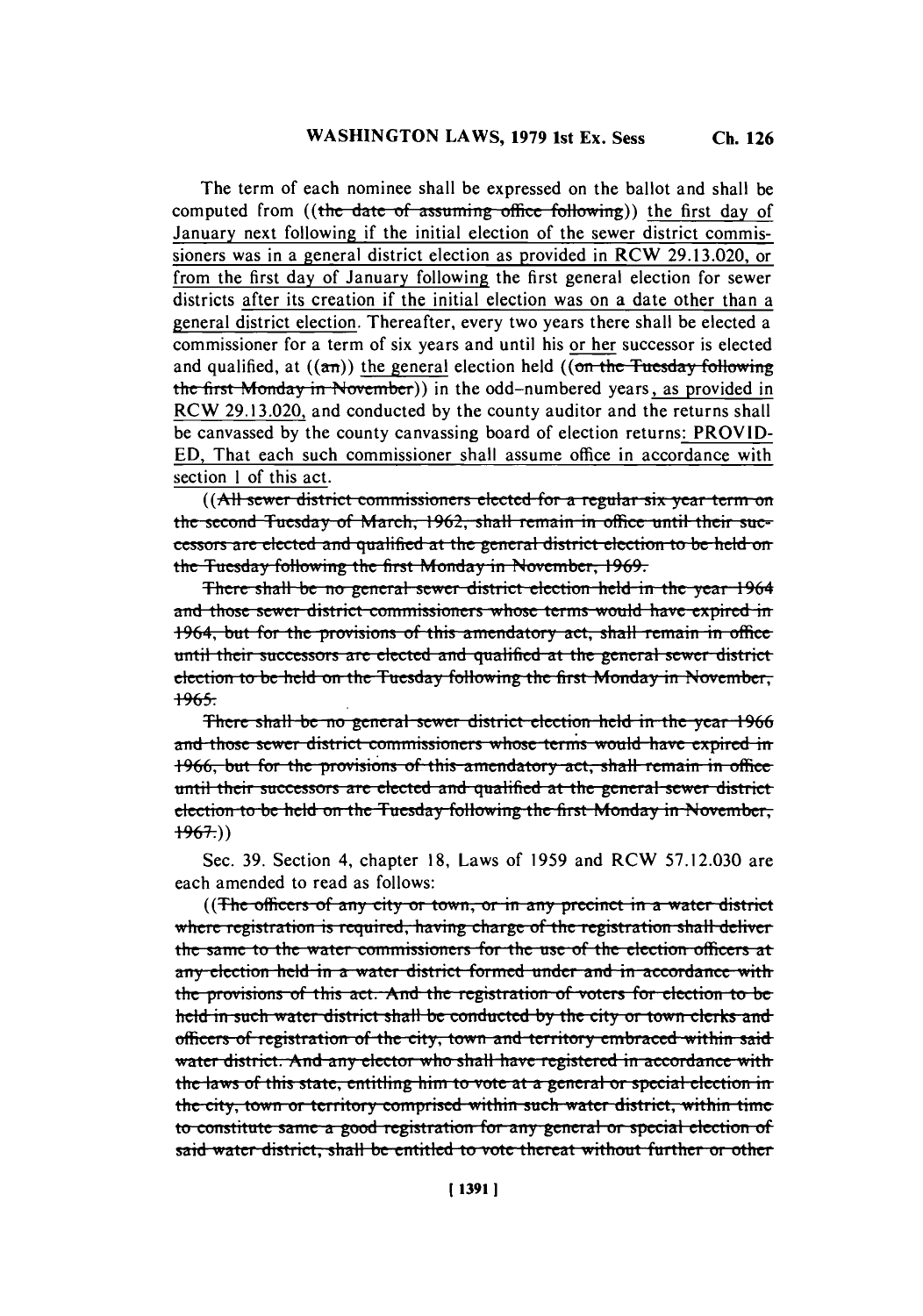The term of each nominee shall be expressed on the ballot and shall be computed from ((the date of assuming office following)) the first day of January next following if the initial election of the sewer district commissioners was in a general district election as provided in RCW **29.13.020,** or from the first day of January following the first general election for sewer districts after its creation if the initial election was on a date other than a general district election. Thereafter, every two years there shall be elected a commissioner for a term of six years and until his or her successor is elected and qualified, at  $((a\pi))$  the general election held  $((\omega\pi + b\pi))$  **i** all  $(b\pi + b\pi)$  **i** allowing the first Monday in November)) in the odd-numbered years, as provided in RCW **29.13.020,** and conducted **by** the county auditor and the returns shall be canvassed **by** the county canvassing board of election returns: PROV ID-**ED,** That each such commissioner shall assume office in accordance with section **I** of this act.

((All sewer district commissioners elected for a regular six year term on **the second Tuesday of March, 1962, shall remain in office until their suc**cessors are elected and qualified at the general district election to be held on the Tuesday following the first Monday in November, 1969.

There shall be no general sewer district election held in the year 1964 and those sewer district commissioners whose terms would have expired in 1964, but for the provisions of this amendatory act, shall remain in office. until their successors are elected and qualified at the general sewer district election to be held on the Tuesday following the first Monday in November, **1965.**

There shall be no general sewer district election held in the year 1966 **and those sewer district commissioners whose terms would have expired in 1966, but for the provisions of this amendatory act, shall remain in office until their successors are elected and qualified at the general sewer district election to be held on the Tuesday following the first Monday in November, 1967.))**

Sec **. 39.** Section 4, chapter **18,** Laws of **1959** and RCW **57.12.030** are each amended to read as follows:

((The officers of any city or town, or in any precinct in a water district where registration is required, having charge of the registration shall deliver the same to the water commissioners for the use of the election officers at any election held in a water district formed under and in accordance with the provisions of this act. And the registration of voters for election to be **held in such water district shall be conducted by the city or town clerks and** officers of registration of the city, town and territory embraced within said **water district. And any elector who shall have registered in accordance with** the laws of this state, entitling him to vote at a general or special election in **the city, town or territory comprised within such water district, within time to constitute same a good registration for any general or special election of isaid water district, shall be entitled to vote thereat without further or other**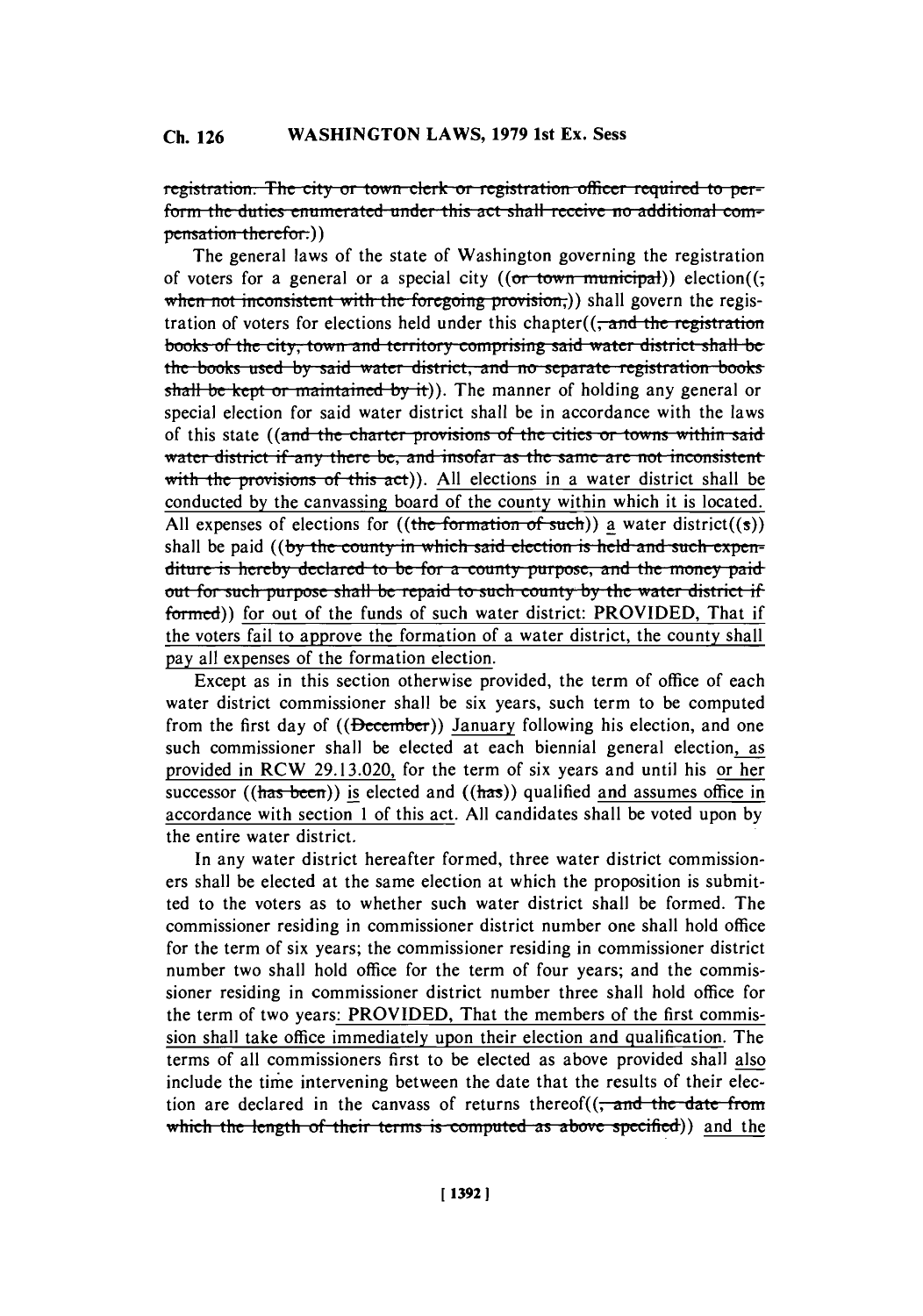registration. The city or town clerk or registration officer required to perform the duties enumerated under this act shall receive no additional compensation therefor.))

The general laws of the state of Washington governing the registration of voters for a general or a special city  $((or *town municipat*))$  election $((a *return 确*$ when not inconsistent with the foregoing provision;)) shall govern the registration of voters for elections held under this chapter( $\left($ , and the registration **books of the city, town and territory comprising said water district shall be** the books used by said water district, and no separate registration books shall be kept or maintained by it)). The manner of holding any general or special election for said water district shall be in accordance with the laws of this state ((and the charter provisions of the cities or towns within said water district if any there be, and insofar as the same are not inconsistent with the provisions of this act)). All elections in a water district shall be conducted **by** the canvassing board of the county within which it is located. All expenses of elections for  $((\text{the formation of such}))$  a water district $((s))$ shall be paid ((by the county in which said election is held and such expenditure is hereby declared to be for a county purpose, and the money paid **but for such purpose shall be repaid to such county by the water district if** formed)) for out of the funds of such water district: PROVIDED, That if the voters fail to approve the formation of a water district, the county shall pay all expenses of the formation election.

Except as in this section otherwise provided, the term of office of each water district commissioner shall be six years, such term to be computed from the first day of ((December)) January following his election, and one such commissioner shall be elected at each biennial general election, as provided in RCW **29.13.020,** for the term of six years and until his or her successor  $((has been))$  is elected and  $((has))$  qualified and assumes office in accordance with section 1 of this act. **All** candidates shall be voted upon **by** the entire water district.

In any water district hereafter formed, three water district commissioners shall be elected at the same election at which the proposition is submitted to the voters as to whether such water district shall be formed. The commissioner residing in commissioner district number one shall hold office for the term of six years; the commissioner residing in commissioner district number two shall hold office for the term of four years; and the commissioner residing in commissioner district number three shall hold office for the term of two years: PROVIDED, That the members of the first commission shall take office immediately upon their election and qualification. The terms of all commissioners first to be elected as above provided shall also include the time intervening between the date that the results of their election are declared in the canvass of returns thereof( $\left( \frac{1}{x} \right)$  and the date from which the length of their terms is computed as above specified)) and the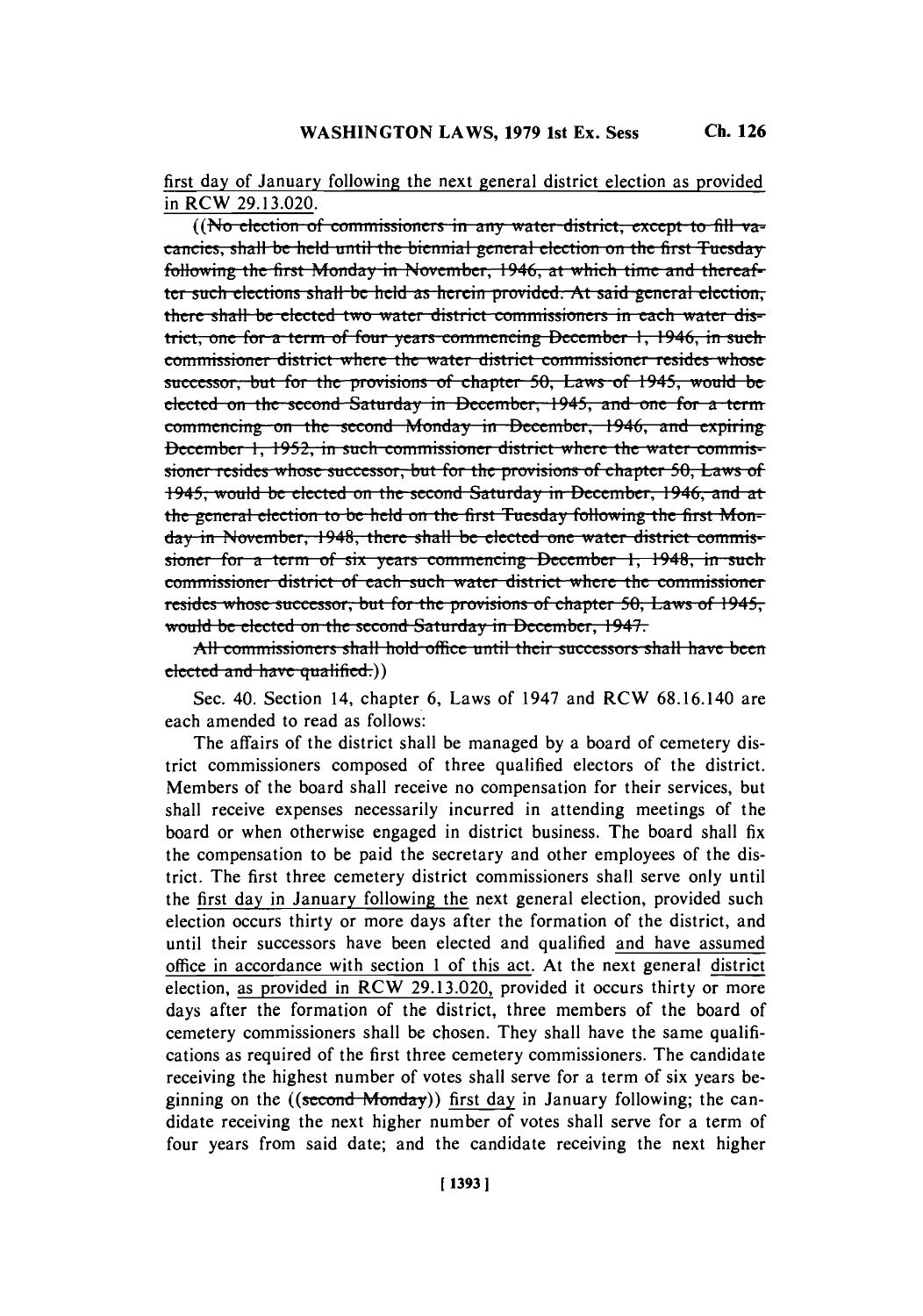first day of January following the next general district election as provided in RCW **29.13.020.**

**((No election of commissioners in any water district, except to fill vaeancies, shall be held until the biennial general election on the first Tuesday** following the first Monday in November, 1946, at which time and thereaf**ter such elections shall be held as herein provided. At said general election,** there shall be elected two water district commissioners in each water dis**trict, one for a term of four vears commencing December 1, 1946, in such** commissioner district where the water district commissioner resides whose successor, but for the provisions of chapter 50, Laws of 1945, would be elected on the second Saturday in December, 1945, and one for a term commencing on the second Monday in December, 1946, and expiring **December 1, 1952, in such commissioner district where the water commis**sioner resides whose successor, but for the provisions of chapter 50, Laws of 1945, would be elected on the second Saturday in December, 1946, and at the general election to be held on the first Tuesday following the first Monday in November, 1948, there shall be elected one water district commis**sioner** for a term of six years commencing December 1, 1948, in such **commissioner district of each such water district where the commissioner** resides whose successor, but for the provisions of chapter 50, Laws of 1945, would be elected on the second Saturday in December, 1947.

All commissioners shall hold office until their successors shall have been elected and have qualified.))

Sec. 40. Section 14, chapter **6,** Laws of 1947 and RCW **68.16.140** are each amended to read as follows:

The affairs of the district shall be managed **by** a board of cemetery district commissioners composed of three qualified electors of the district. Members of the board shall receive no compensation for their services, but shall receive expenses necessarily incurred in attending meetings of the board or when otherwise engaged in district business. The board shall fix the compensation to **be** paid the secretary and other employees of the district. The first three cemetery district commissioners shall serve only until the first day in January following the next general election, provided such election occurs thirty or more days after the formation of the district, and until their successors have been elected and qualified and have assumed office in accordance with section 1 of this act. At the next general district election, as provided in RCW **29.13.020,** provided it occurs thirty or more days after the formation of the district, three members of the board of cemetery commissioners shall **be** chosen. They shall have the same qualifications as required of the first three cemetery commissioners. The candidate receiving the highest number of votes shall serve for a term of six years beginning on the  $((second Monday))$  first day in January following; the candidate receiving the next higher number of votes shall serve for a term of four years from said date; and the candidate receiving the next higher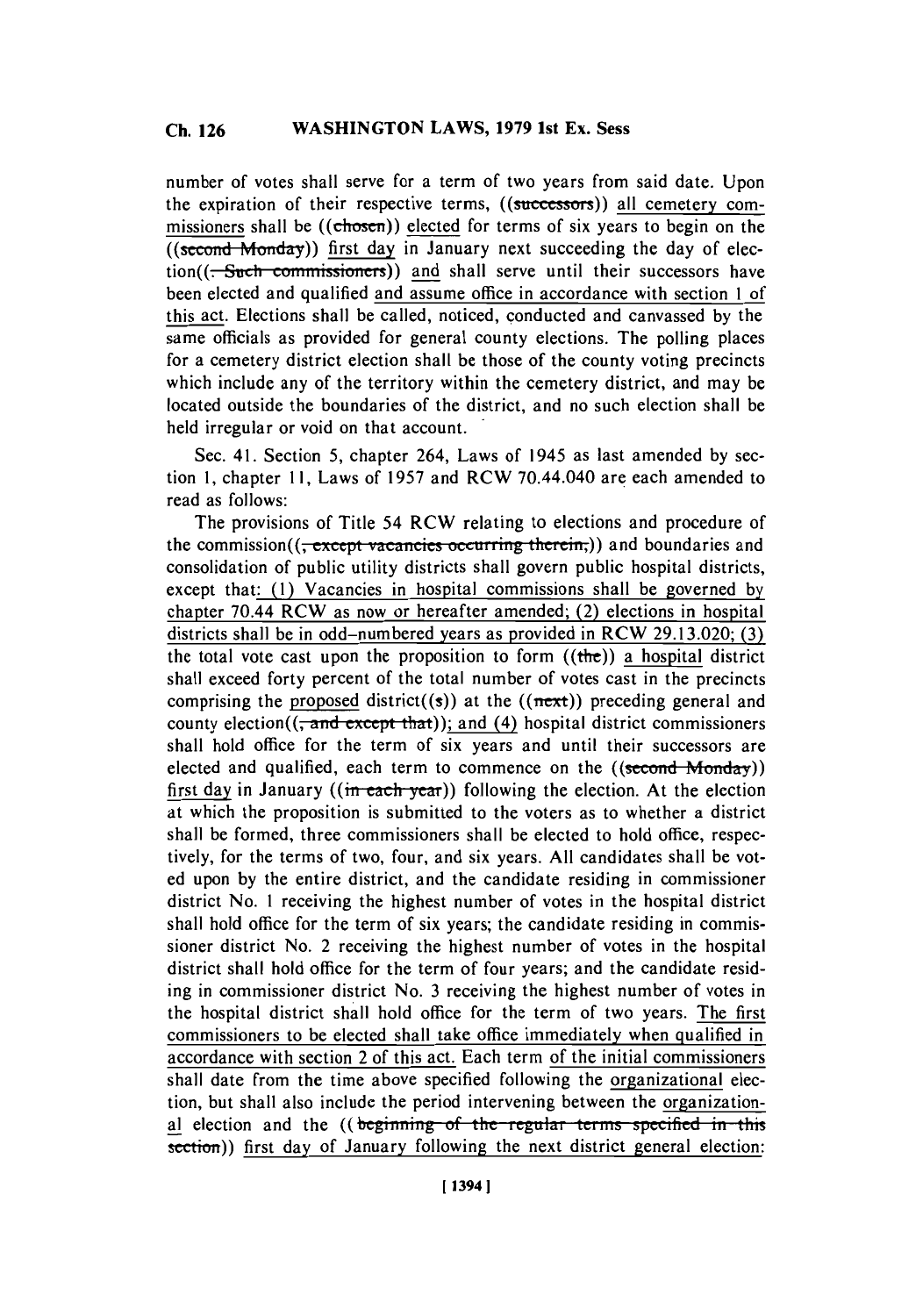number of votes shall serve for a term of two years from said date. Upon the expiration of their respective terms, ((successors)) all cemetery commissioners shall be ((chosen)) elected for terms of six years to begin on the ((second Monday)) first day in January next succeeding the day of elec $tion(( - Such \textit{~commissioners}))$  and shall serve until their successors have been elected and qualified and assume office in accordance with section 1 of this act. Elections shall be called, noticed, conducted and canvassed **by** the same officials as provided for general county elections. The polling places for a cemetery district election shall be those of the county voting precincts which include any of the territory within the cemetery district, and may be located outside the boundaries of the district, and no such election shall be held irregular or void on that account.

Sec. 41. Section **5,** chapter 264, Laws of 1945 as last amended **by** section **1,** chapter **11,** Laws of **1957** and RCW 70.44.040 are each amended to read as follows:

The provisions of Title 54 RCW relating to elections and procedure of the commission((<del>, except vacancies occurring therein,</del>)) and boundaries and consolidation of public utility districts shall govern public hospital districts, except that: **(1)** Vacancies in hospital commissions shall be governed **by** chapter 70.44 RCW as now or hereafter amended; (2) elections in hospital districts shall be in odd-numbered years as provided in RCW **29.13.020; (3)** the total vote cast upon the proposition to form  $((the))$  a hospital district shall exceed forty percent of the total number of votes cast in the precincts comprising the proposed district((s)) at the (( $next$ )) preceding general and county election( $(\frac{1}{2}$  and  $\frac{1}{2}$  except that)); and (4) hospital district commissioners shall hold office for the term of six years and until their successors are elected and qualified, each term to commence on the  $((second Monday))$ first day in January ( $(m - each - year)$ ) following the election. At the election at which the proposition is submitted to the voters as to whether a district shall be formed, three commissioners shall be elected to hold office, respectively, for the terms of two, four, and six years. **All** candidates shall be voted upon **by** the entire district, and the candidate residing in commissioner district No. **I** receiving the highest number of votes in the hospital district shall hold office for the term of six years; the candidate residing in commissioner district No. 2 receiving the highest number of votes in the hospital district shall hold office for the term of four years; and the candidate residing in commissioner district No. **3** receiving the highest number of votes in the hospital district shall hold office for the term of two years. The first commissioners to be elected shall take office immediately when qualified in accordance with section 2 of this act. Each term of the initial commissioners shall date from the time above specified following the organizational election, but shall also include the period intervening between the organizational election and the ((beginning of the regular terms specified in this section)) first day of January following the next district general election: